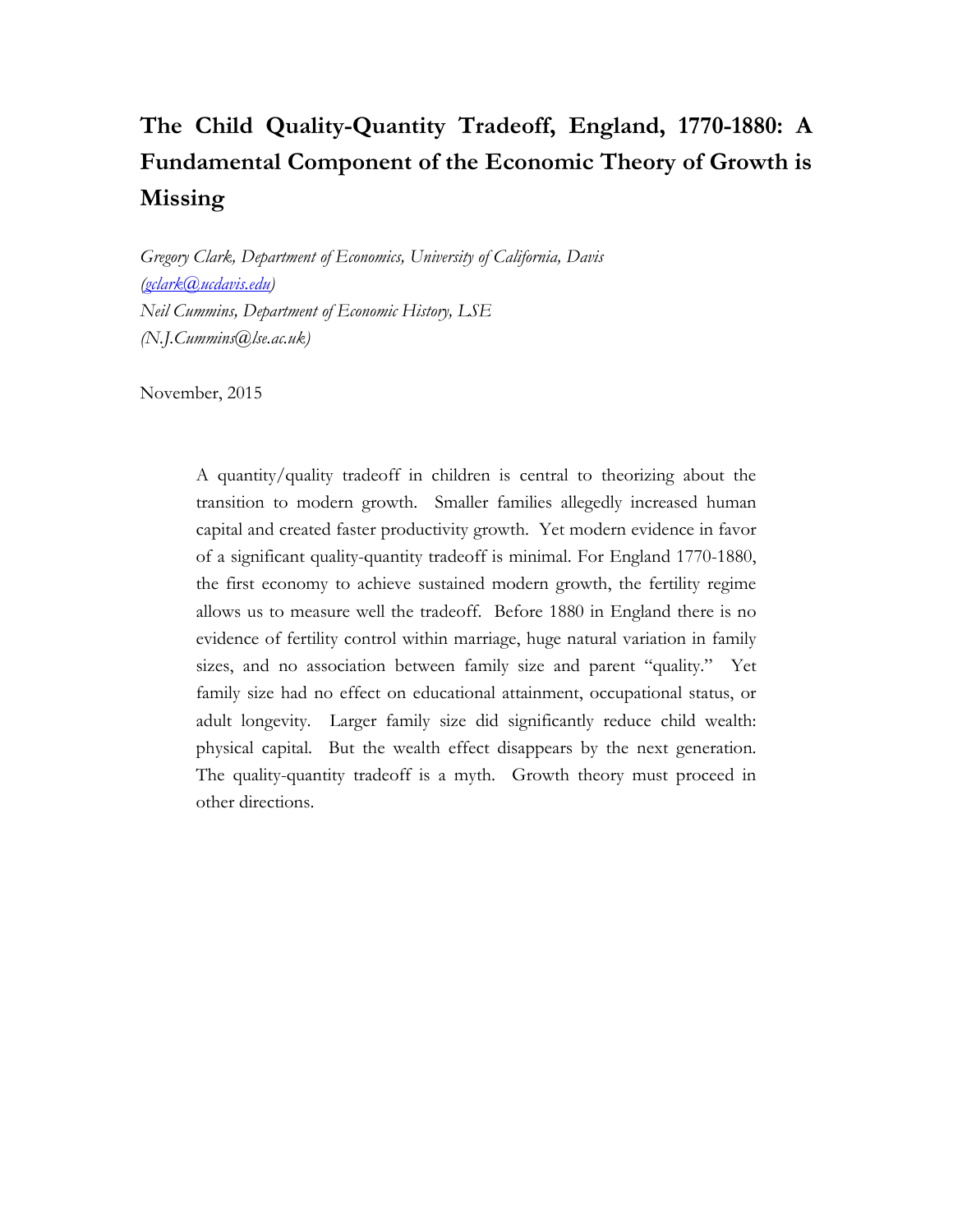# **The Child Quality-Quantity Tradeoff, England, 1770-1880: A Fundamental Component of the Economic Theory of Growth is Missing**

*Gregory Clark, Department of Economics, University of California, Davis [\(gclark@ucdavis.edu\)](mailto:gclark@ucdavis.edu) Neil Cummins, Department of Economic History, LSE (N.J.Cummins@lse.ac.uk)*

November, 2015

A quantity/quality tradeoff in children is central to theorizing about the transition to modern growth. Smaller families allegedly increased human capital and created faster productivity growth. Yet modern evidence in favor of a significant quality-quantity tradeoff is minimal. For England 1770-1880, the first economy to achieve sustained modern growth, the fertility regime allows us to measure well the tradeoff. Before 1880 in England there is no evidence of fertility control within marriage, huge natural variation in family sizes, and no association between family size and parent "quality." Yet family size had no effect on educational attainment, occupational status, or adult longevity. Larger family size did significantly reduce child wealth: physical capital. But the wealth effect disappears by the next generation. The quality-quantity tradeoff is a myth. Growth theory must proceed in other directions.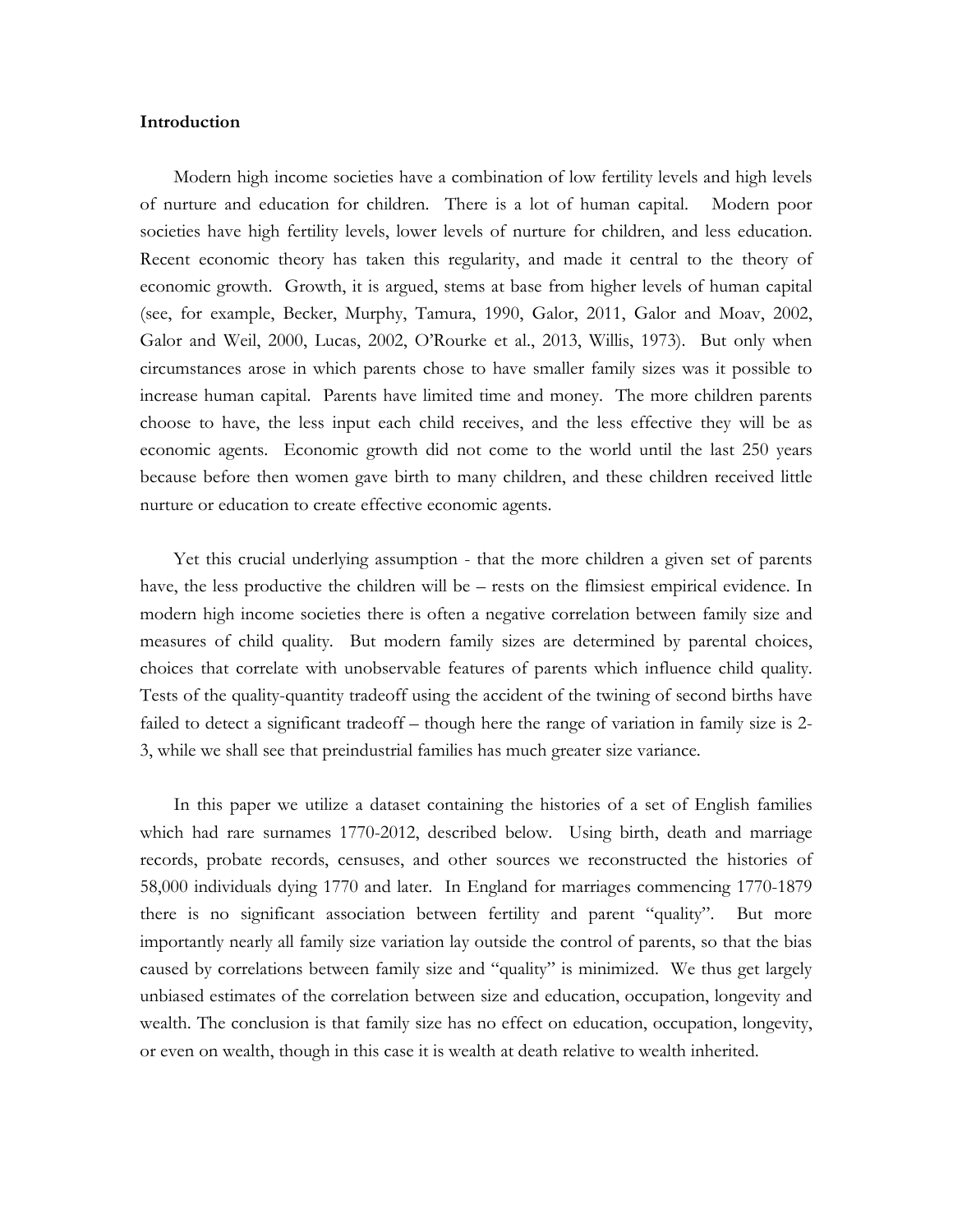# **Introduction**

Modern high income societies have a combination of low fertility levels and high levels of nurture and education for children. There is a lot of human capital. Modern poor societies have high fertility levels, lower levels of nurture for children, and less education. Recent economic theory has taken this regularity, and made it central to the theory of economic growth. Growth, it is argued, stems at base from higher levels of human capital (see, for example, Becker, Murphy, Tamura, 1990, Galor, 2011, Galor and Moav, 2002, Galor and Weil, 2000, Lucas, 2002, O'Rourke et al., 2013, Willis, 1973). But only when circumstances arose in which parents chose to have smaller family sizes was it possible to increase human capital. Parents have limited time and money. The more children parents choose to have, the less input each child receives, and the less effective they will be as economic agents. Economic growth did not come to the world until the last 250 years because before then women gave birth to many children, and these children received little nurture or education to create effective economic agents.

Yet this crucial underlying assumption - that the more children a given set of parents have, the less productive the children will be – rests on the flimsiest empirical evidence. In modern high income societies there is often a negative correlation between family size and measures of child quality. But modern family sizes are determined by parental choices, choices that correlate with unobservable features of parents which influence child quality. Tests of the quality-quantity tradeoff using the accident of the twining of second births have failed to detect a significant tradeoff – though here the range of variation in family size is 2- 3, while we shall see that preindustrial families has much greater size variance.

In this paper we utilize a dataset containing the histories of a set of English families which had rare surnames 1770-2012, described below. Using birth, death and marriage records, probate records, censuses, and other sources we reconstructed the histories of 58,000 individuals dying 1770 and later. In England for marriages commencing 1770-1879 there is no significant association between fertility and parent "quality". But more importantly nearly all family size variation lay outside the control of parents, so that the bias caused by correlations between family size and "quality" is minimized. We thus get largely unbiased estimates of the correlation between size and education, occupation, longevity and wealth. The conclusion is that family size has no effect on education, occupation, longevity, or even on wealth, though in this case it is wealth at death relative to wealth inherited.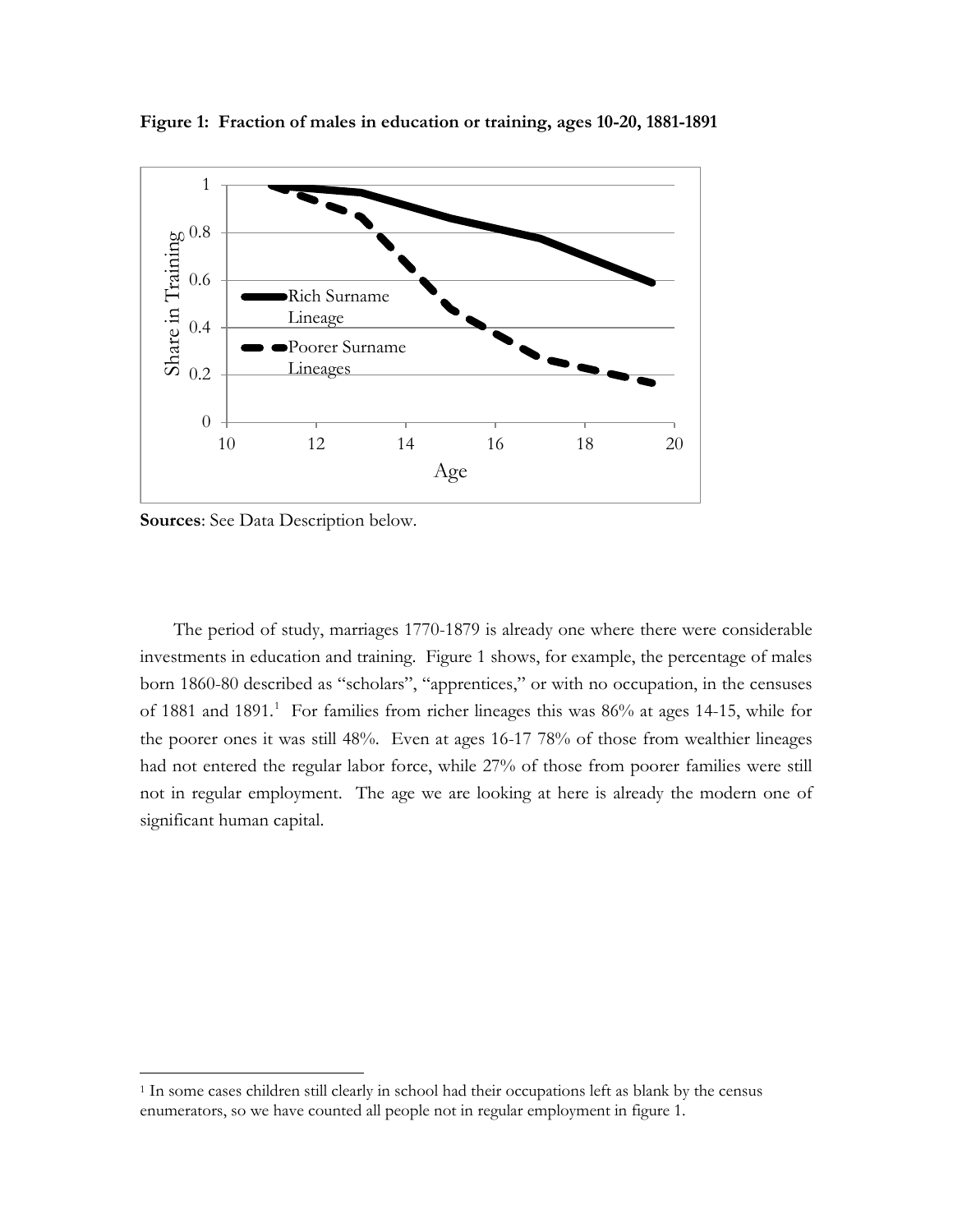

**Figure 1: Fraction of males in education or training, ages 10-20, 1881-1891**

**Sources**: See Data Description below.

 $\overline{\phantom{a}}$ 

The period of study, marriages 1770-1879 is already one where there were considerable investments in education and training. Figure 1 shows, for example, the percentage of males born 1860-80 described as "scholars", "apprentices," or with no occupation, in the censuses of [1](#page-2-0)881 and 1891.<sup>1</sup> For families from richer lineages this was 86% at ages 14-15, while for the poorer ones it was still 48%. Even at ages 16-17 78% of those from wealthier lineages had not entered the regular labor force, while 27% of those from poorer families were still not in regular employment. The age we are looking at here is already the modern one of significant human capital.

<span id="page-2-0"></span><sup>1</sup> In some cases children still clearly in school had their occupations left as blank by the census enumerators, so we have counted all people not in regular employment in figure 1.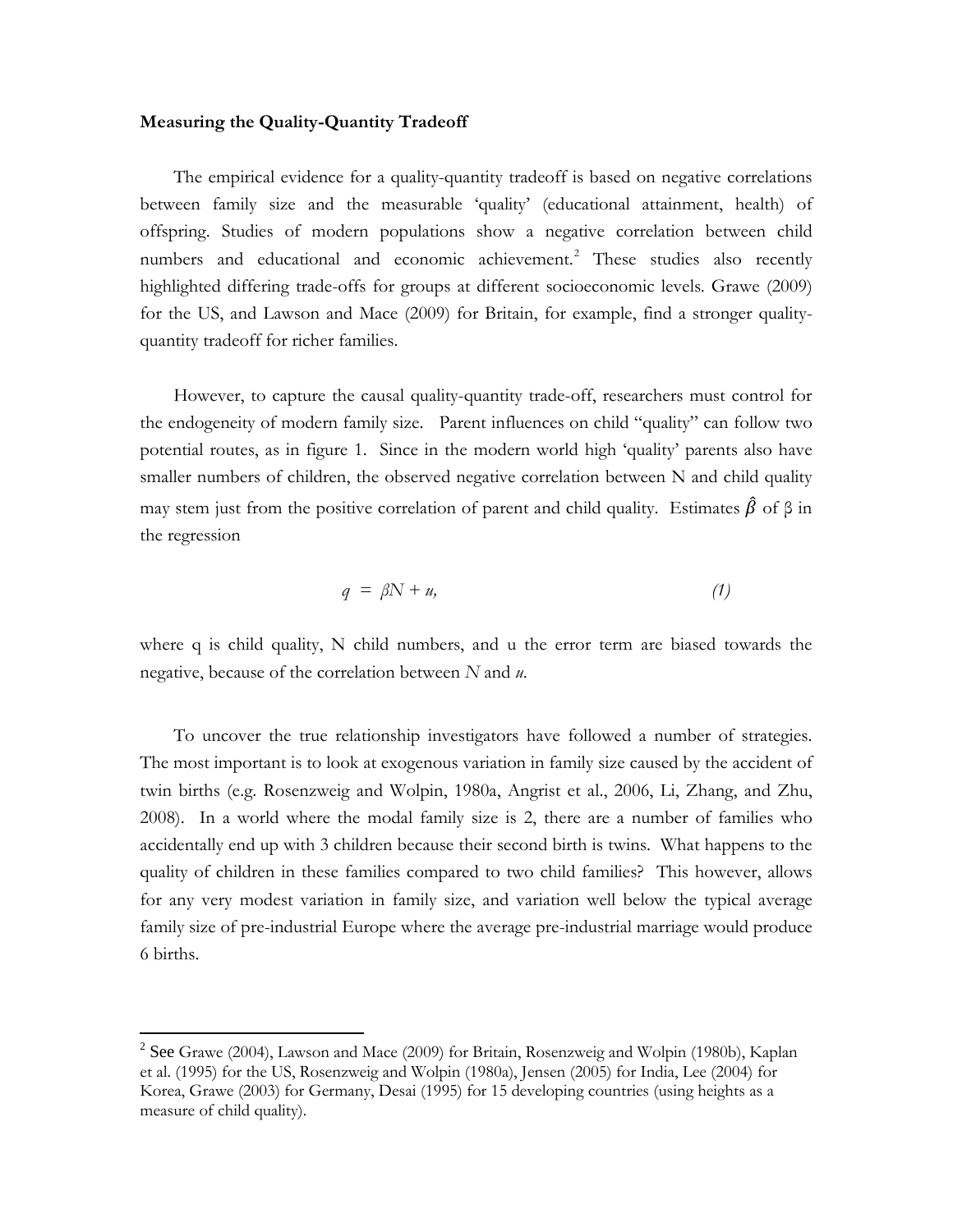# **Measuring the Quality-Quantity Tradeoff**

The empirical evidence for a quality-quantity tradeoff is based on negative correlations between family size and the measurable 'quality' (educational attainment, health) of offspring. Studies of modern populations show a negative correlation between child numbers and educational and economic achievement.<sup>[2](#page-3-0)</sup> These studies also recently highlighted differing trade-offs for groups at different socioeconomic levels. Grawe (2009) for the US, and Lawson and Mace (2009) for Britain, for example, find a stronger qualityquantity tradeoff for richer families.

However, to capture the causal quality-quantity trade-off, researchers must control for the endogeneity of modern family size. Parent influences on child "quality" can follow two potential routes, as in figure 1. Since in the modern world high 'quality' parents also have smaller numbers of children, the observed negative correlation between N and child quality may stem just from the positive correlation of parent and child quality. Estimates  $\hat{\beta}$  of  $\beta$  in the regression

$$
q = \beta N + u,\tag{1}
$$

where q is child quality, N child numbers, and u the error term are biased towards the negative, because of the correlation between *N* and *u*.

To uncover the true relationship investigators have followed a number of strategies. The most important is to look at exogenous variation in family size caused by the accident of twin births (e.g. Rosenzweig and Wolpin, 1980a, Angrist et al., 2006, Li, Zhang, and Zhu, 2008). In a world where the modal family size is 2, there are a number of families who accidentally end up with 3 children because their second birth is twins. What happens to the quality of children in these families compared to two child families? This however, allows for any very modest variation in family size, and variation well below the typical average family size of pre-industrial Europe where the average pre-industrial marriage would produce 6 births.

 $\overline{\phantom{a}}$ 

<span id="page-3-0"></span> $2^2$  See Grawe (2004), Lawson and Mace (2009) for Britain, Rosenzweig and Wolpin (1980b), Kaplan et al. (1995) for the US, Rosenzweig and Wolpin (1980a), Jensen (2005) for India, Lee (2004) for Korea, Grawe (2003) for Germany, Desai (1995) for 15 developing countries (using heights as a measure of child quality).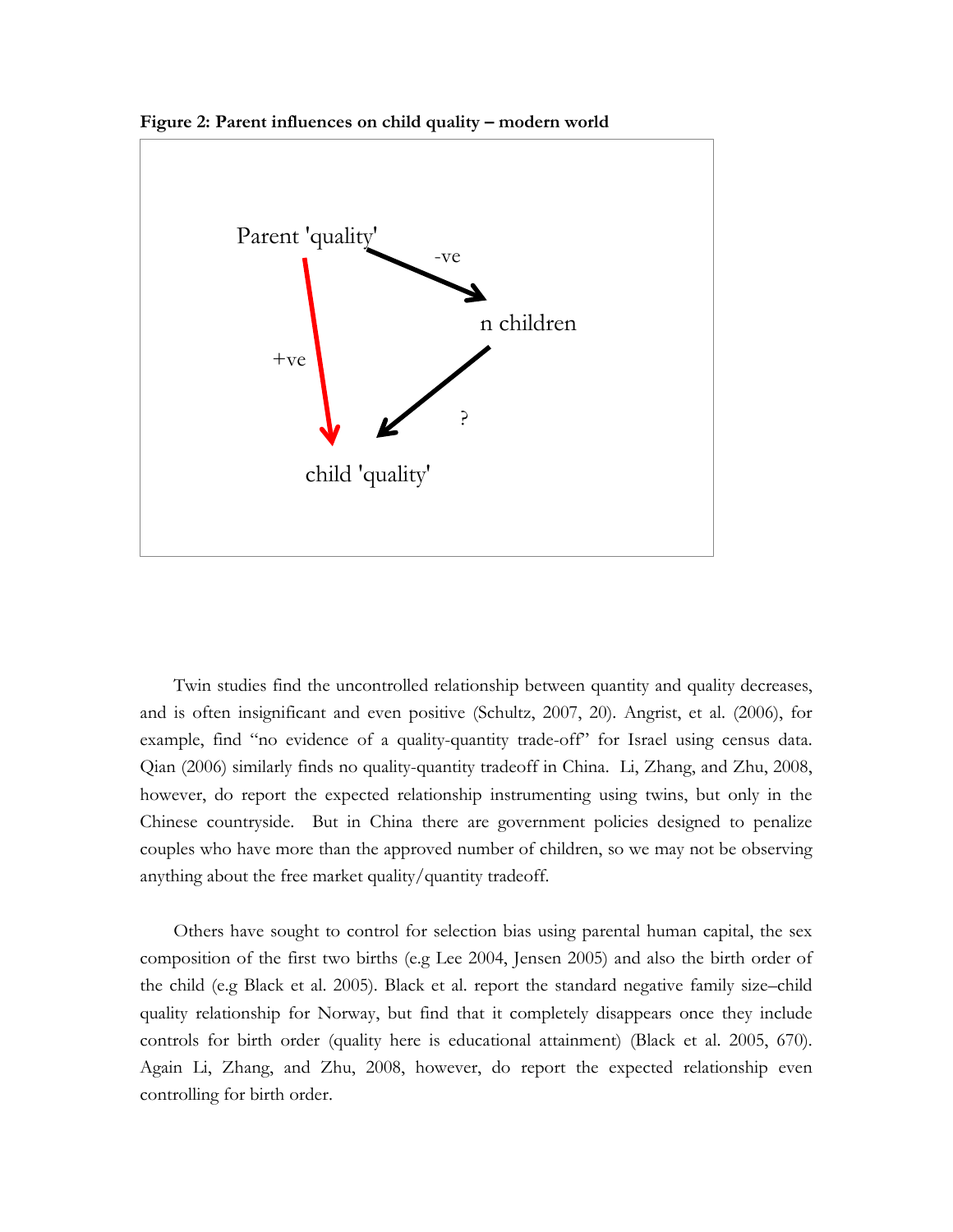

**Figure 2: Parent influences on child quality – modern world**

Twin studies find the uncontrolled relationship between quantity and quality decreases, and is often insignificant and even positive (Schultz, 2007, 20). Angrist, et al. (2006), for example, find "no evidence of a quality-quantity trade-off" for Israel using census data. Qian (2006) similarly finds no quality-quantity tradeoff in China. Li, Zhang, and Zhu, 2008, however, do report the expected relationship instrumenting using twins, but only in the Chinese countryside. But in China there are government policies designed to penalize couples who have more than the approved number of children, so we may not be observing anything about the free market quality/quantity tradeoff.

Others have sought to control for selection bias using parental human capital, the sex composition of the first two births (e.g Lee 2004, Jensen 2005) and also the birth order of the child (e.g Black et al. 2005). Black et al. report the standard negative family size–child quality relationship for Norway, but find that it completely disappears once they include controls for birth order (quality here is educational attainment) (Black et al. 2005, 670). Again Li, Zhang, and Zhu, 2008, however, do report the expected relationship even controlling for birth order.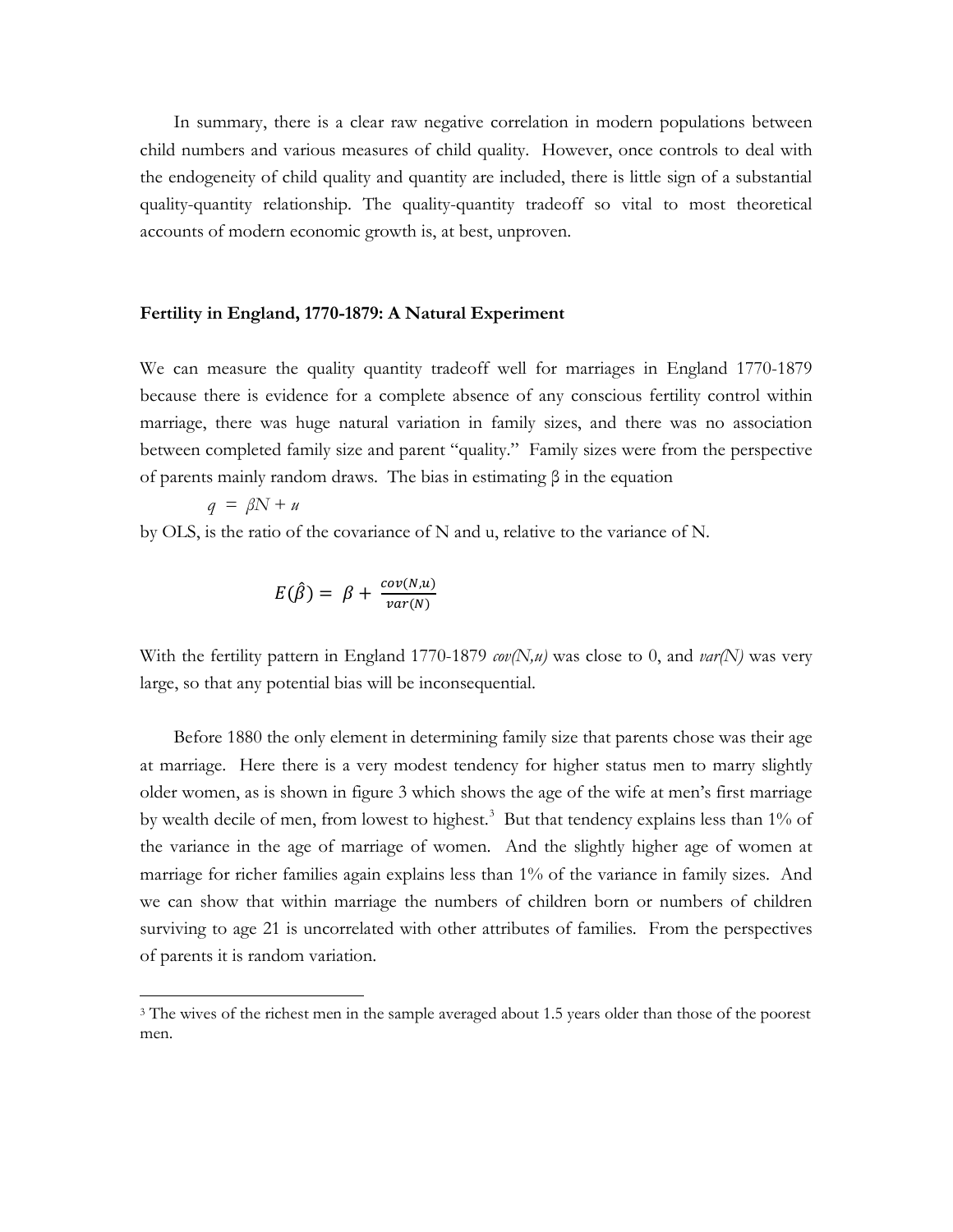In summary, there is a clear raw negative correlation in modern populations between child numbers and various measures of child quality. However, once controls to deal with the endogeneity of child quality and quantity are included, there is little sign of a substantial quality-quantity relationship. The quality-quantity tradeoff so vital to most theoretical accounts of modern economic growth is, at best, unproven.

#### **Fertility in England, 1770-1879: A Natural Experiment**

We can measure the quality quantity tradeoff well for marriages in England 1770-1879 because there is evidence for a complete absence of any conscious fertility control within marriage, there was huge natural variation in family sizes, and there was no association between completed family size and parent "quality." Family sizes were from the perspective of parents mainly random draws. The bias in estimating β in the equation

$$
q = \beta N + u
$$

 $\overline{\phantom{a}}$ 

by OLS, is the ratio of the covariance of N and u, relative to the variance of N.

$$
E(\hat{\beta}) = \beta + \frac{cov(N,u)}{var(N)}
$$

With the fertility pattern in England 1770-1879 *cov(N,u)* was close to 0, and *var(N)* was very large, so that any potential bias will be inconsequential.

Before 1880 the only element in determining family size that parents chose was their age at marriage. Here there is a very modest tendency for higher status men to marry slightly older women, as is shown in figure 3 which shows the age of the wife at men's first marriage by wealth decile of men, from lowest to highest.<sup>[3](#page-5-0)</sup> But that tendency explains less than 1% of the variance in the age of marriage of women. And the slightly higher age of women at marriage for richer families again explains less than 1% of the variance in family sizes. And we can show that within marriage the numbers of children born or numbers of children surviving to age 21 is uncorrelated with other attributes of families. From the perspectives of parents it is random variation.

<span id="page-5-0"></span><sup>&</sup>lt;sup>3</sup> The wives of the richest men in the sample averaged about 1.5 years older than those of the poorest men.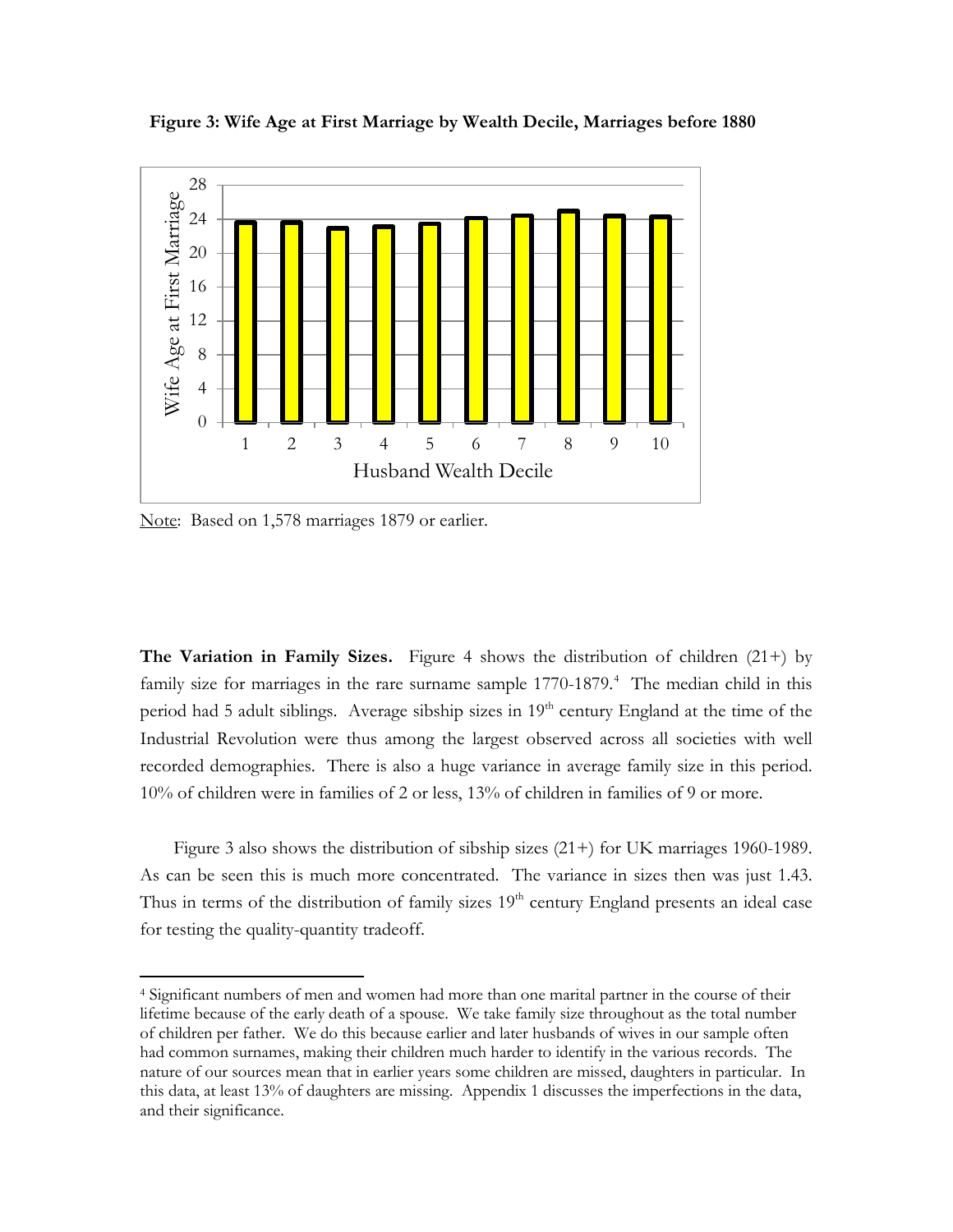

**Figure 3: Wife Age at First Marriage by Wealth Decile, Marriages before 1880**

Note: Based on 1,578 marriages 1879 or earlier.

 $\overline{\phantom{a}}$ 

**The Variation in Family Sizes.** Figure 4 shows the distribution of children (21+) by family size for marriages in the rare surname sample 1770-1879.<sup>[4](#page-6-0)</sup> The median child in this period had 5 adult siblings. Average sibship sizes in  $19<sup>th</sup>$  century England at the time of the Industrial Revolution were thus among the largest observed across all societies with well recorded demographies. There is also a huge variance in average family size in this period. 10% of children were in families of 2 or less, 13% of children in families of 9 or more.

Figure 3 also shows the distribution of sibship sizes (21+) for UK marriages 1960-1989. As can be seen this is much more concentrated. The variance in sizes then was just 1.43. Thus in terms of the distribution of family sizes  $19<sup>th</sup>$  century England presents an ideal case for testing the quality-quantity tradeoff.

<span id="page-6-0"></span><sup>4</sup> Significant numbers of men and women had more than one marital partner in the course of their lifetime because of the early death of a spouse. We take family size throughout as the total number of children per father. We do this because earlier and later husbands of wives in our sample often had common surnames, making their children much harder to identify in the various records. The nature of our sources mean that in earlier years some children are missed, daughters in particular. In this data, at least 13% of daughters are missing. Appendix 1 discusses the imperfections in the data, and their significance.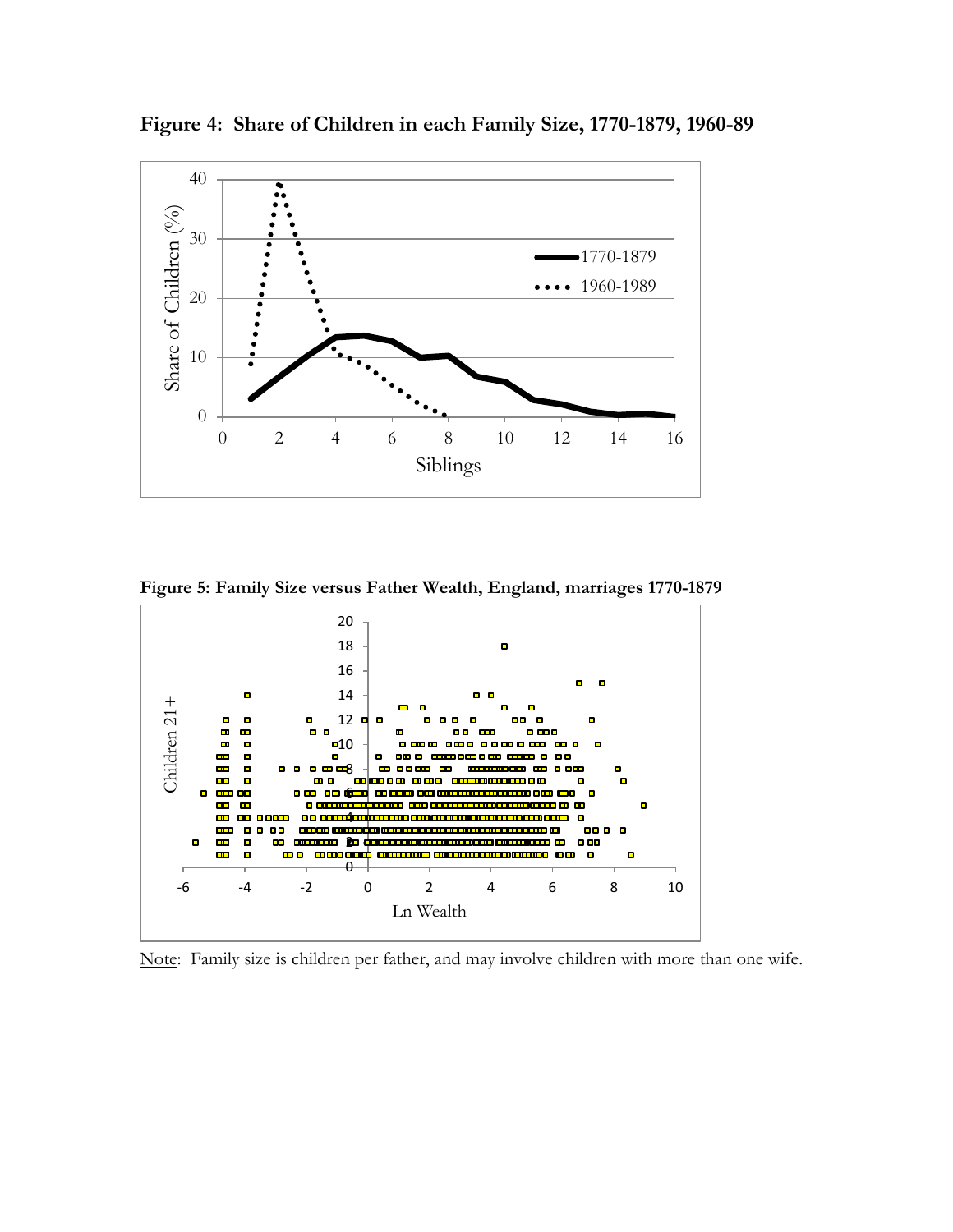

**Figure 4: Share of Children in each Family Size, 1770-1879, 1960-89**

**Figure 5: Family Size versus Father Wealth, England, marriages 1770-1879**



Note: Family size is children per father, and may involve children with more than one wife.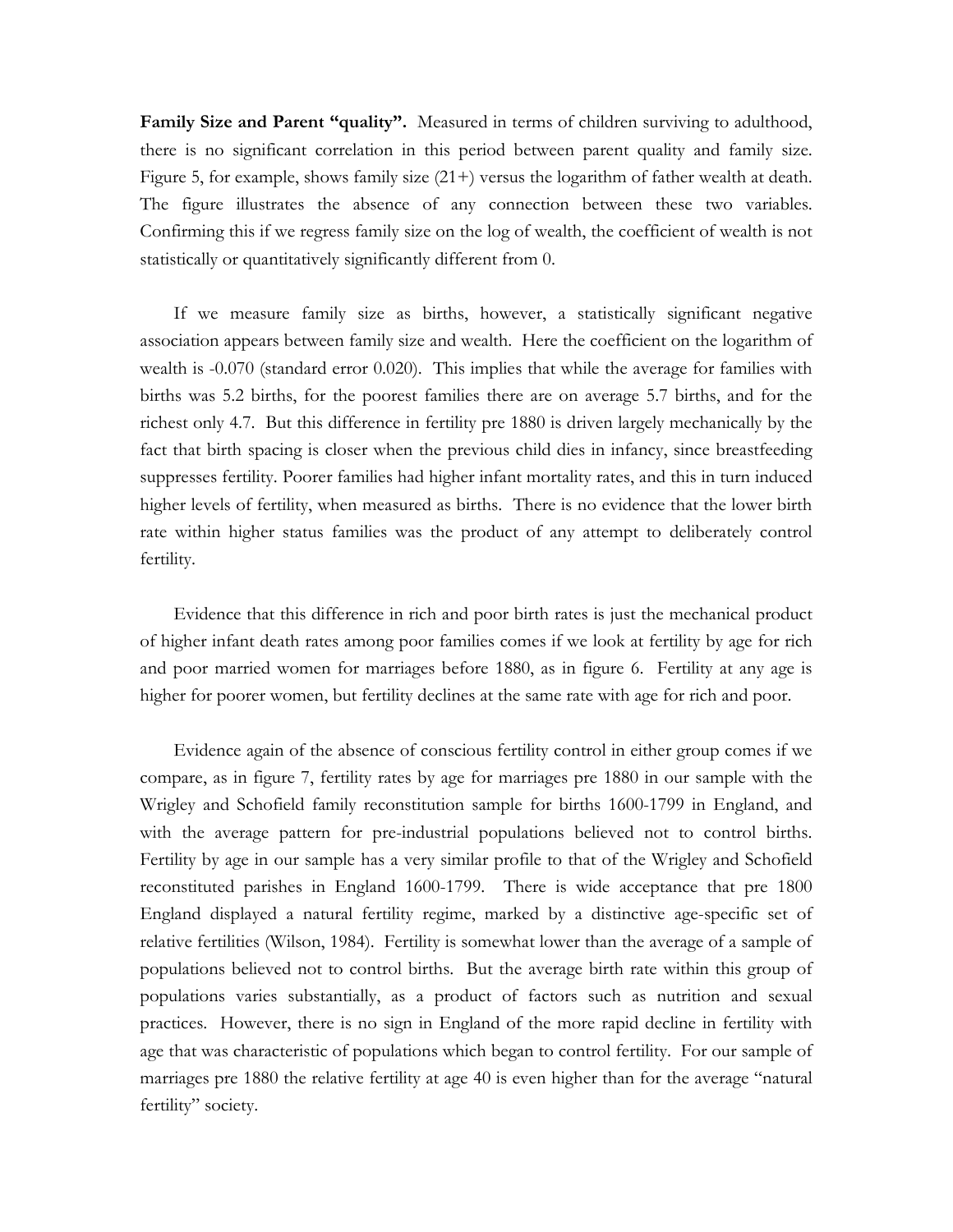Family Size and Parent "quality". Measured in terms of children surviving to adulthood, there is no significant correlation in this period between parent quality and family size. Figure 5, for example, shows family size (21+) versus the logarithm of father wealth at death. The figure illustrates the absence of any connection between these two variables. Confirming this if we regress family size on the log of wealth, the coefficient of wealth is not statistically or quantitatively significantly different from 0.

If we measure family size as births, however, a statistically significant negative association appears between family size and wealth. Here the coefficient on the logarithm of wealth is -0.070 (standard error 0.020). This implies that while the average for families with births was 5.2 births, for the poorest families there are on average 5.7 births, and for the richest only 4.7. But this difference in fertility pre 1880 is driven largely mechanically by the fact that birth spacing is closer when the previous child dies in infancy, since breastfeeding suppresses fertility. Poorer families had higher infant mortality rates, and this in turn induced higher levels of fertility, when measured as births. There is no evidence that the lower birth rate within higher status families was the product of any attempt to deliberately control fertility.

Evidence that this difference in rich and poor birth rates is just the mechanical product of higher infant death rates among poor families comes if we look at fertility by age for rich and poor married women for marriages before 1880, as in figure 6. Fertility at any age is higher for poorer women, but fertility declines at the same rate with age for rich and poor.

Evidence again of the absence of conscious fertility control in either group comes if we compare, as in figure 7, fertility rates by age for marriages pre 1880 in our sample with the Wrigley and Schofield family reconstitution sample for births 1600-1799 in England, and with the average pattern for pre-industrial populations believed not to control births. Fertility by age in our sample has a very similar profile to that of the Wrigley and Schofield reconstituted parishes in England 1600-1799. There is wide acceptance that pre 1800 England displayed a natural fertility regime, marked by a distinctive age-specific set of relative fertilities (Wilson, 1984). Fertility is somewhat lower than the average of a sample of populations believed not to control births. But the average birth rate within this group of populations varies substantially, as a product of factors such as nutrition and sexual practices. However, there is no sign in England of the more rapid decline in fertility with age that was characteristic of populations which began to control fertility. For our sample of marriages pre 1880 the relative fertility at age 40 is even higher than for the average "natural fertility" society.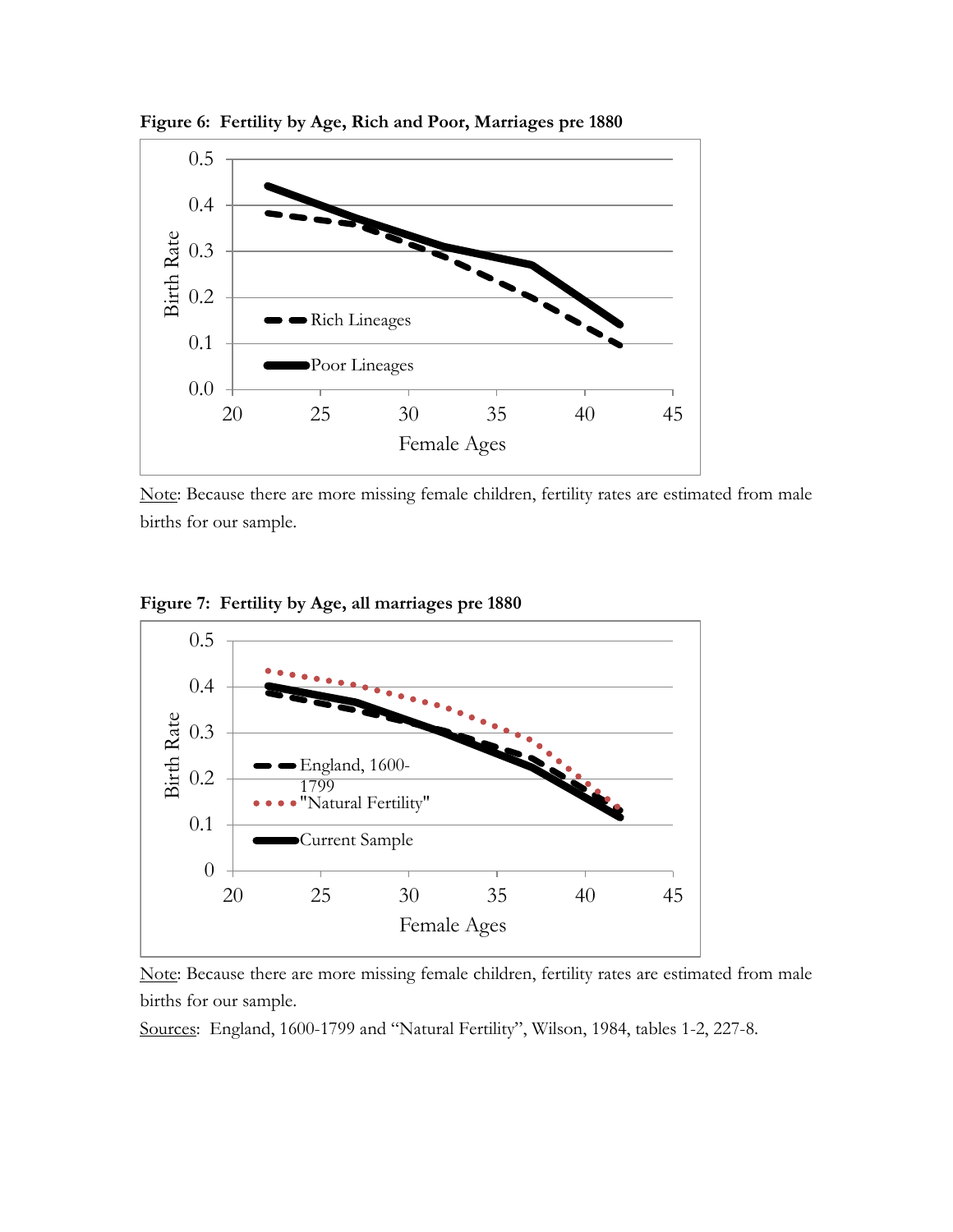

**Figure 6: Fertility by Age, Rich and Poor, Marriages pre 1880**

Note: Because there are more missing female children, fertility rates are estimated from male births for our sample.

**Figure 7: Fertility by Age, all marriages pre 1880**



Note: Because there are more missing female children, fertility rates are estimated from male births for our sample.

Sources: England, 1600-1799 and "Natural Fertility", Wilson, 1984, tables 1-2, 227-8.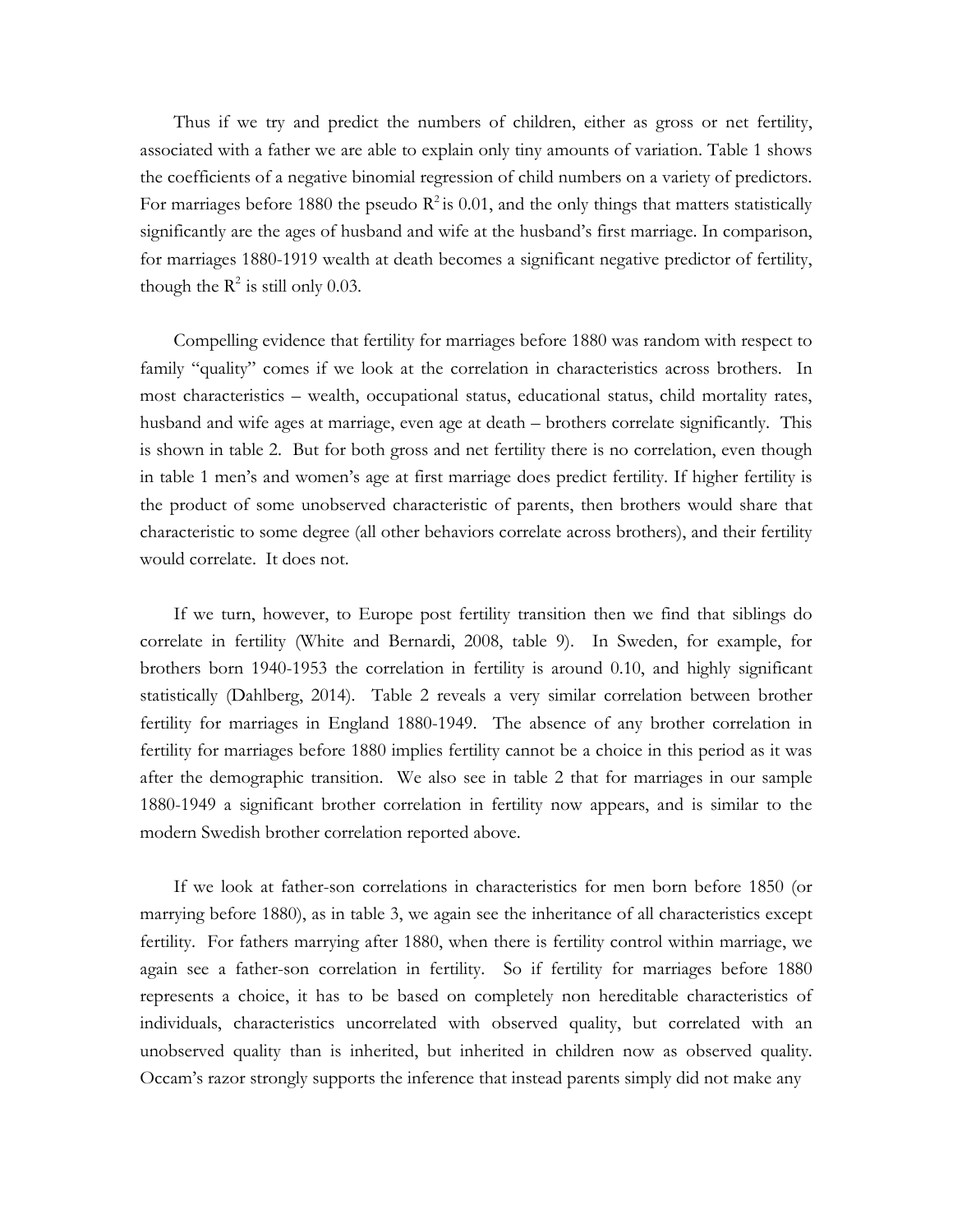Thus if we try and predict the numbers of children, either as gross or net fertility, associated with a father we are able to explain only tiny amounts of variation. Table 1 shows the coefficients of a negative binomial regression of child numbers on a variety of predictors. For marriages before 1880 the pseudo  $R^2$  is 0.01, and the only things that matters statistically significantly are the ages of husband and wife at the husband's first marriage. In comparison, for marriages 1880-1919 wealth at death becomes a significant negative predictor of fertility, though the  $\mathbb{R}^2$  is still only 0.03.

Compelling evidence that fertility for marriages before 1880 was random with respect to family "quality" comes if we look at the correlation in characteristics across brothers. In most characteristics – wealth, occupational status, educational status, child mortality rates, husband and wife ages at marriage, even age at death – brothers correlate significantly. This is shown in table 2. But for both gross and net fertility there is no correlation, even though in table 1 men's and women's age at first marriage does predict fertility. If higher fertility is the product of some unobserved characteristic of parents, then brothers would share that characteristic to some degree (all other behaviors correlate across brothers), and their fertility would correlate. It does not.

If we turn, however, to Europe post fertility transition then we find that siblings do correlate in fertility (White and Bernardi, 2008, table 9). In Sweden, for example, for brothers born 1940-1953 the correlation in fertility is around 0.10, and highly significant statistically (Dahlberg, 2014). Table 2 reveals a very similar correlation between brother fertility for marriages in England 1880-1949. The absence of any brother correlation in fertility for marriages before 1880 implies fertility cannot be a choice in this period as it was after the demographic transition. We also see in table 2 that for marriages in our sample 1880-1949 a significant brother correlation in fertility now appears, and is similar to the modern Swedish brother correlation reported above.

If we look at father-son correlations in characteristics for men born before 1850 (or marrying before 1880), as in table 3, we again see the inheritance of all characteristics except fertility. For fathers marrying after 1880, when there is fertility control within marriage, we again see a father-son correlation in fertility. So if fertility for marriages before 1880 represents a choice, it has to be based on completely non hereditable characteristics of individuals, characteristics uncorrelated with observed quality, but correlated with an unobserved quality than is inherited, but inherited in children now as observed quality. Occam's razor strongly supports the inference that instead parents simply did not make any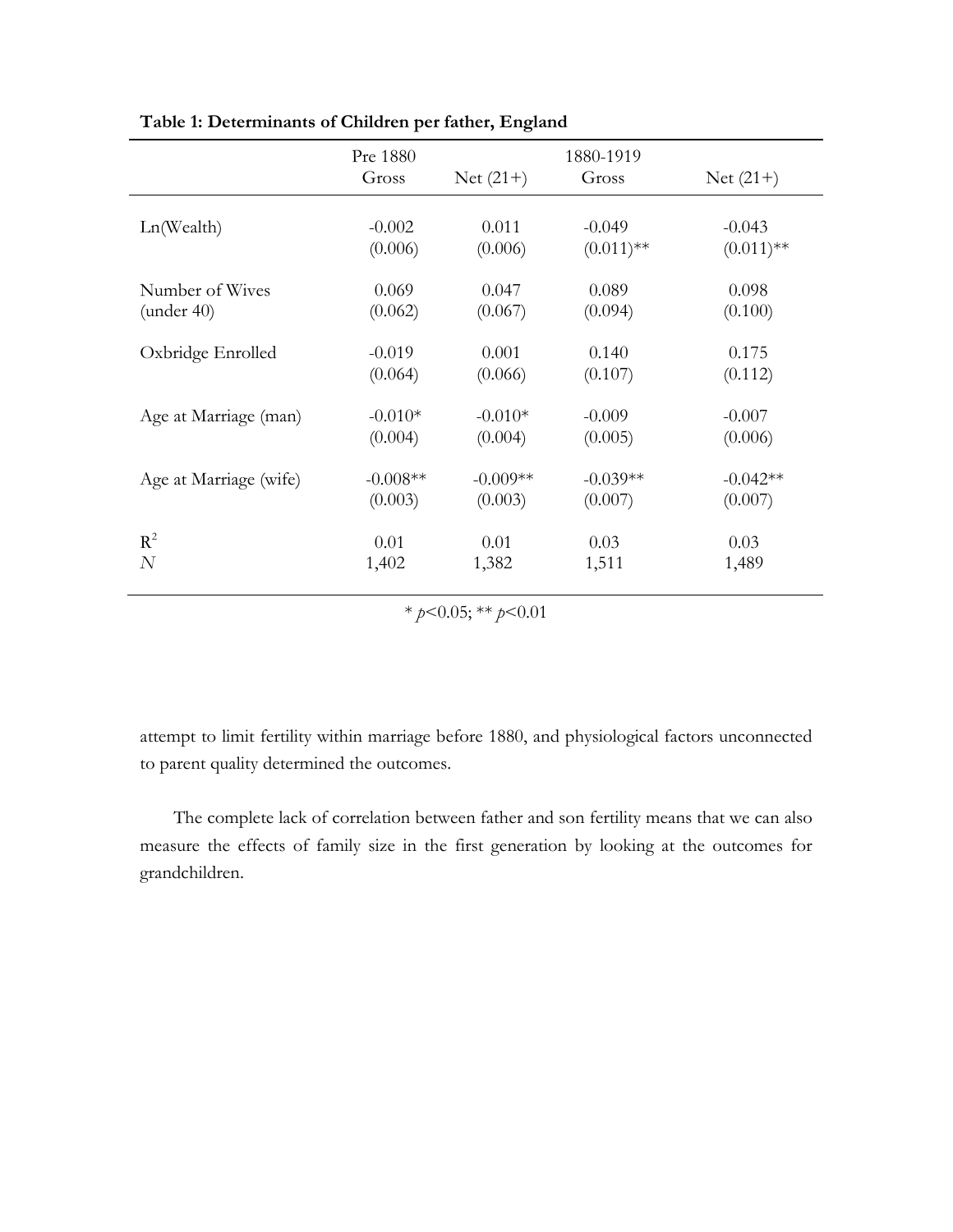|                        | Pre 1880<br>Gross | $Net (21+)$ | 1880-1919<br>Gross | $Net (21+)$  |
|------------------------|-------------------|-------------|--------------------|--------------|
|                        |                   |             |                    |              |
| Ln(Wealth)             | $-0.002$          | 0.011       | $-0.049$           | $-0.043$     |
|                        | (0.006)           | (0.006)     | $(0.011)$ **       | $(0.011)$ ** |
|                        |                   |             |                    |              |
| Number of Wives        | 0.069             | 0.047       | 0.089              | 0.098        |
| (under 40)             | (0.062)           | (0.067)     | (0.094)            | (0.100)      |
|                        |                   |             |                    |              |
| Oxbridge Enrolled      | $-0.019$          | 0.001       | 0.140              | 0.175        |
|                        | (0.064)           | (0.066)     | (0.107)            | (0.112)      |
|                        |                   |             |                    |              |
| Age at Marriage (man)  | $-0.010*$         | $-0.010*$   | $-0.009$           | $-0.007$     |
|                        | (0.004)           | (0.004)     | (0.005)            | (0.006)      |
|                        |                   |             |                    |              |
| Age at Marriage (wife) | $-0.008**$        | $-0.009**$  | $-0.039**$         | $-0.042**$   |
|                        | (0.003)           | (0.003)     | (0.007)            | (0.007)      |
|                        |                   |             |                    |              |
| $R^2$                  | 0.01              | 0.01        | 0.03               | 0.03         |
| N                      | 1,402             | 1,382       | 1,511              | 1,489        |
|                        |                   |             |                    |              |

**Table 1: Determinants of Children per father, England**

\* *p*<0.05; \*\* *p*<0.01

attempt to limit fertility within marriage before 1880, and physiological factors unconnected to parent quality determined the outcomes.

The complete lack of correlation between father and son fertility means that we can also measure the effects of family size in the first generation by looking at the outcomes for grandchildren.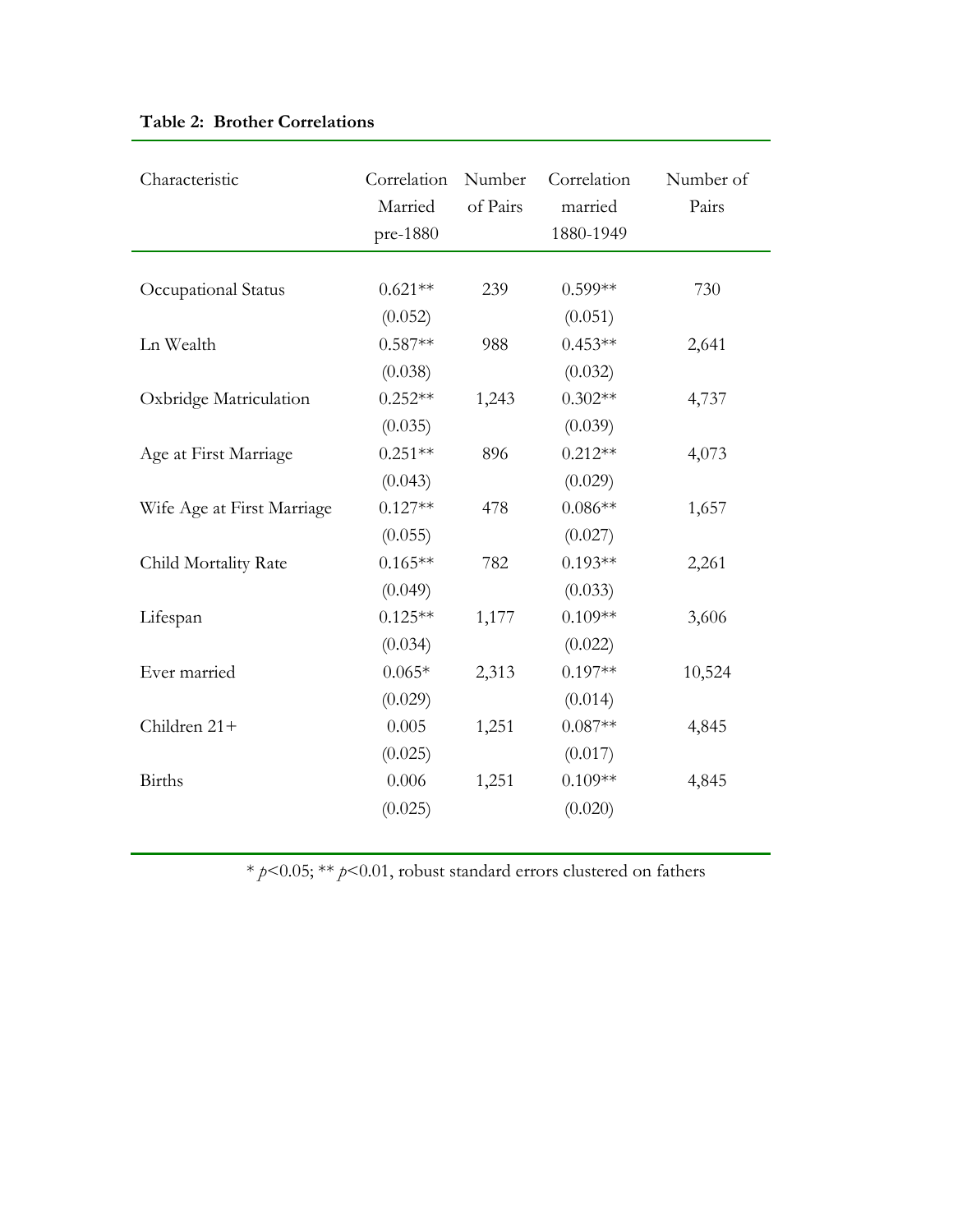| Characteristic             | Correlation<br>Married<br>pre-1880 | Number<br>of Pairs | Correlation<br>married<br>1880-1949 | Number of<br>Pairs |
|----------------------------|------------------------------------|--------------------|-------------------------------------|--------------------|
| Occupational Status        | $0.621**$<br>(0.052)               | 239                | $0.599**$<br>(0.051)                | 730                |
| Ln Wealth                  | $0.587**$                          | 988                | $0.453**$                           | 2,641              |
| Oxbridge Matriculation     | (0.038)<br>$0.252**$               | 1,243              | (0.032)<br>$0.302**$                | 4,737              |
| Age at First Marriage      | (0.035)<br>$0.251**$               | 896                | (0.039)<br>$0.212**$                | 4,073              |
| Wife Age at First Marriage | (0.043)<br>$0.127**$               | 478                | (0.029)<br>$0.086**$                | 1,657              |
| Child Mortality Rate       | (0.055)<br>$0.165**$               | 782                | (0.027)<br>$0.193**$                | 2,261              |
| Lifespan                   | (0.049)<br>$0.125**$               | 1,177              | (0.033)<br>$0.109**$                | 3,606              |
| Ever married               | (0.034)<br>$0.065*$                | 2,313              | (0.022)<br>$0.197**$                | 10,524             |
| Children 21+               | (0.029)<br>0.005                   | 1,251              | (0.014)<br>$0.087**$                | 4,845              |
| Births                     | (0.025)<br>0.006                   | 1,251              | (0.017)<br>$0.109**$                | 4,845              |
|                            | (0.025)                            |                    | (0.020)                             |                    |

# **Table 2: Brother Correlations**

\* *p*<0.05; \*\* *p*<0.01, robust standard errors clustered on fathers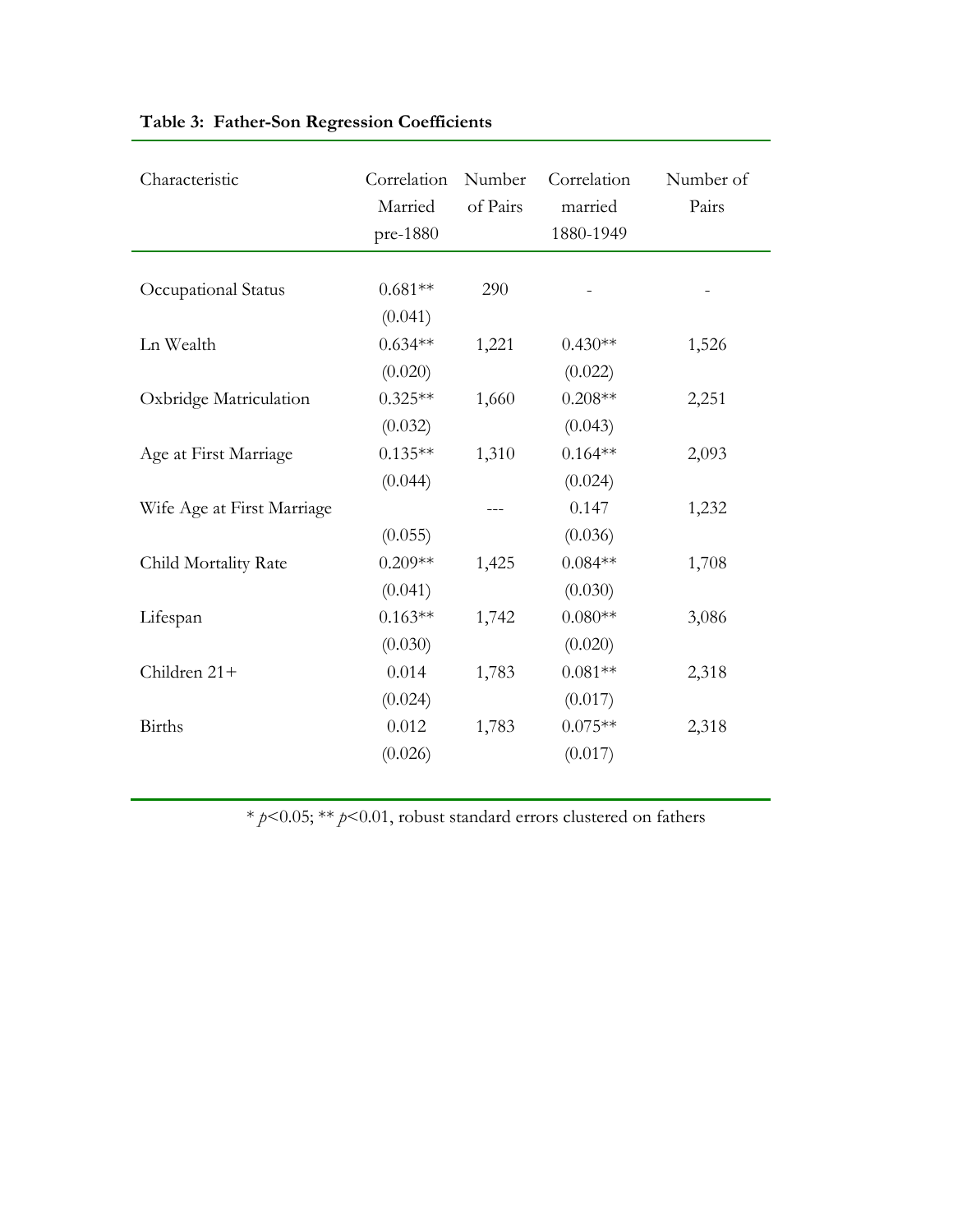| Characteristic             | Correlation<br>Married<br>pre-1880 | Number<br>of Pairs | Correlation<br>married<br>1880-1949 | Number of<br>Pairs |
|----------------------------|------------------------------------|--------------------|-------------------------------------|--------------------|
| Occupational Status        | $0.681**$<br>(0.041)               | 290                |                                     |                    |
| Ln Wealth                  | $0.634**$<br>(0.020)               | 1,221              | $0.430**$<br>(0.022)                | 1,526              |
| Oxbridge Matriculation     | $0.325**$                          | 1,660              | $0.208**$                           | 2,251              |
| Age at First Marriage      | (0.032)<br>$0.135**$               | 1,310              | (0.043)<br>$0.164**$                | 2,093              |
| Wife Age at First Marriage | (0.044)                            |                    | (0.024)<br>0.147                    | 1,232              |
| Child Mortality Rate       | (0.055)<br>$0.209**$               | 1,425              | (0.036)<br>$0.084**$                | 1,708              |
| Lifespan                   | (0.041)<br>$0.163**$               | 1,742              | (0.030)<br>$0.080**$                | 3,086              |
|                            | (0.030)                            |                    | (0.020)                             |                    |
| Children 21+               | 0.014<br>(0.024)                   | 1,783              | $0.081**$<br>(0.017)                | 2,318              |
| <b>Births</b>              | 0.012<br>(0.026)                   | 1,783              | $0.075**$<br>(0.017)                | 2,318              |
|                            |                                    |                    |                                     |                    |

# **Table 3: Father-Son Regression Coefficients**

\* *p*<0.05; \*\* *p*<0.01, robust standard errors clustered on fathers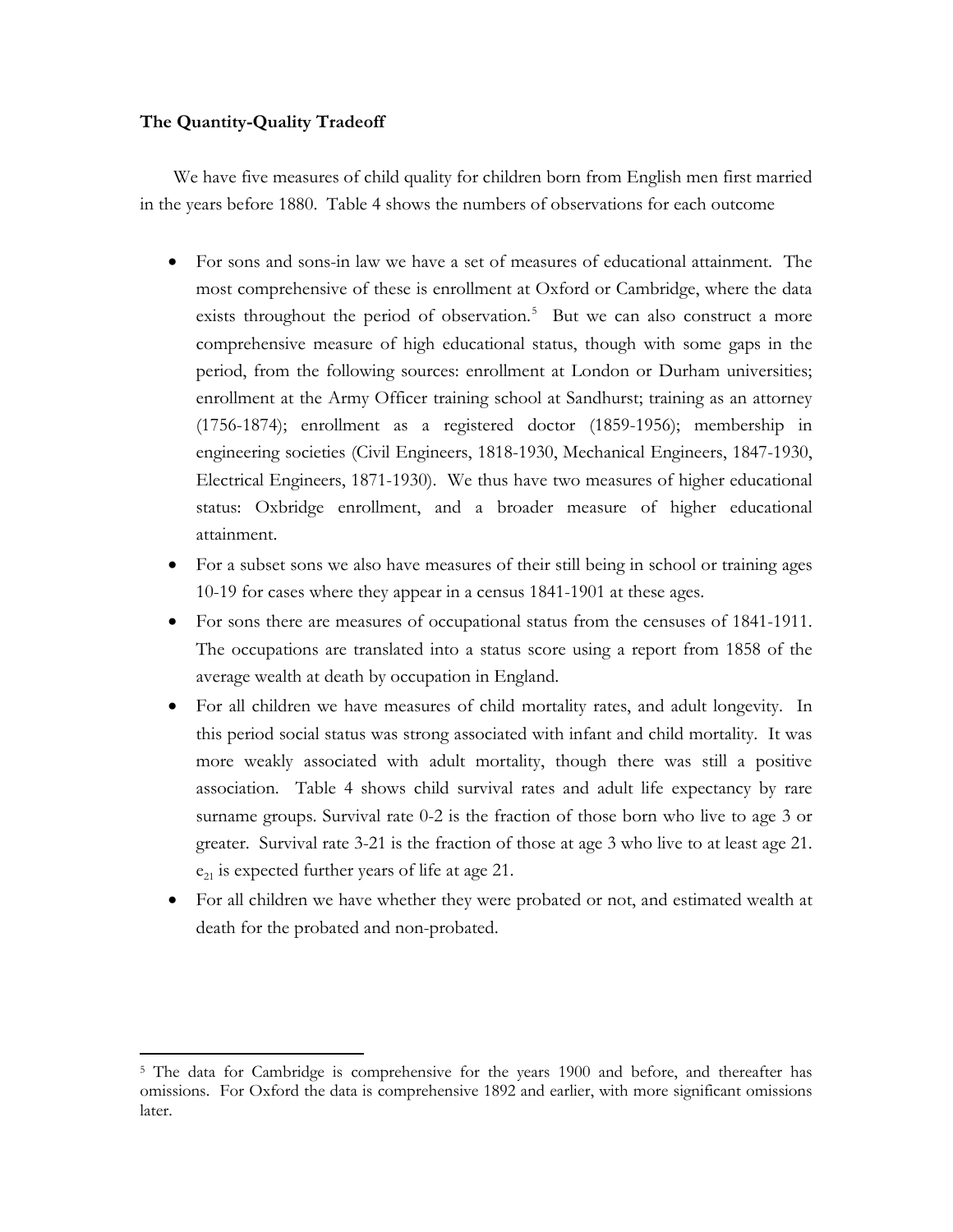# **The Quantity-Quality Tradeoff**

 $\overline{\phantom{a}}$ 

We have five measures of child quality for children born from English men first married in the years before 1880. Table 4 shows the numbers of observations for each outcome

- For sons and sons-in law we have a set of measures of educational attainment. The most comprehensive of these is enrollment at Oxford or Cambridge, where the data exists throughout the period of observation.<sup>[5](#page-14-0)</sup> But we can also construct a more comprehensive measure of high educational status, though with some gaps in the period, from the following sources: enrollment at London or Durham universities; enrollment at the Army Officer training school at Sandhurst; training as an attorney (1756-1874); enrollment as a registered doctor (1859-1956); membership in engineering societies (Civil Engineers, 1818-1930, Mechanical Engineers, 1847-1930, Electrical Engineers, 1871-1930). We thus have two measures of higher educational status: Oxbridge enrollment, and a broader measure of higher educational attainment.
- For a subset sons we also have measures of their still being in school or training ages 10-19 for cases where they appear in a census 1841-1901 at these ages.
- For sons there are measures of occupational status from the censuses of 1841-1911. The occupations are translated into a status score using a report from 1858 of the average wealth at death by occupation in England.
- For all children we have measures of child mortality rates, and adult longevity. In this period social status was strong associated with infant and child mortality. It was more weakly associated with adult mortality, though there was still a positive association. Table 4 shows child survival rates and adult life expectancy by rare surname groups. Survival rate 0-2 is the fraction of those born who live to age 3 or greater. Survival rate 3-21 is the fraction of those at age 3 who live to at least age 21.  $e_{21}$  is expected further years of life at age 21.
- For all children we have whether they were probated or not, and estimated wealth at death for the probated and non-probated.

<span id="page-14-0"></span><sup>5</sup> The data for Cambridge is comprehensive for the years 1900 and before, and thereafter has omissions. For Oxford the data is comprehensive 1892 and earlier, with more significant omissions later.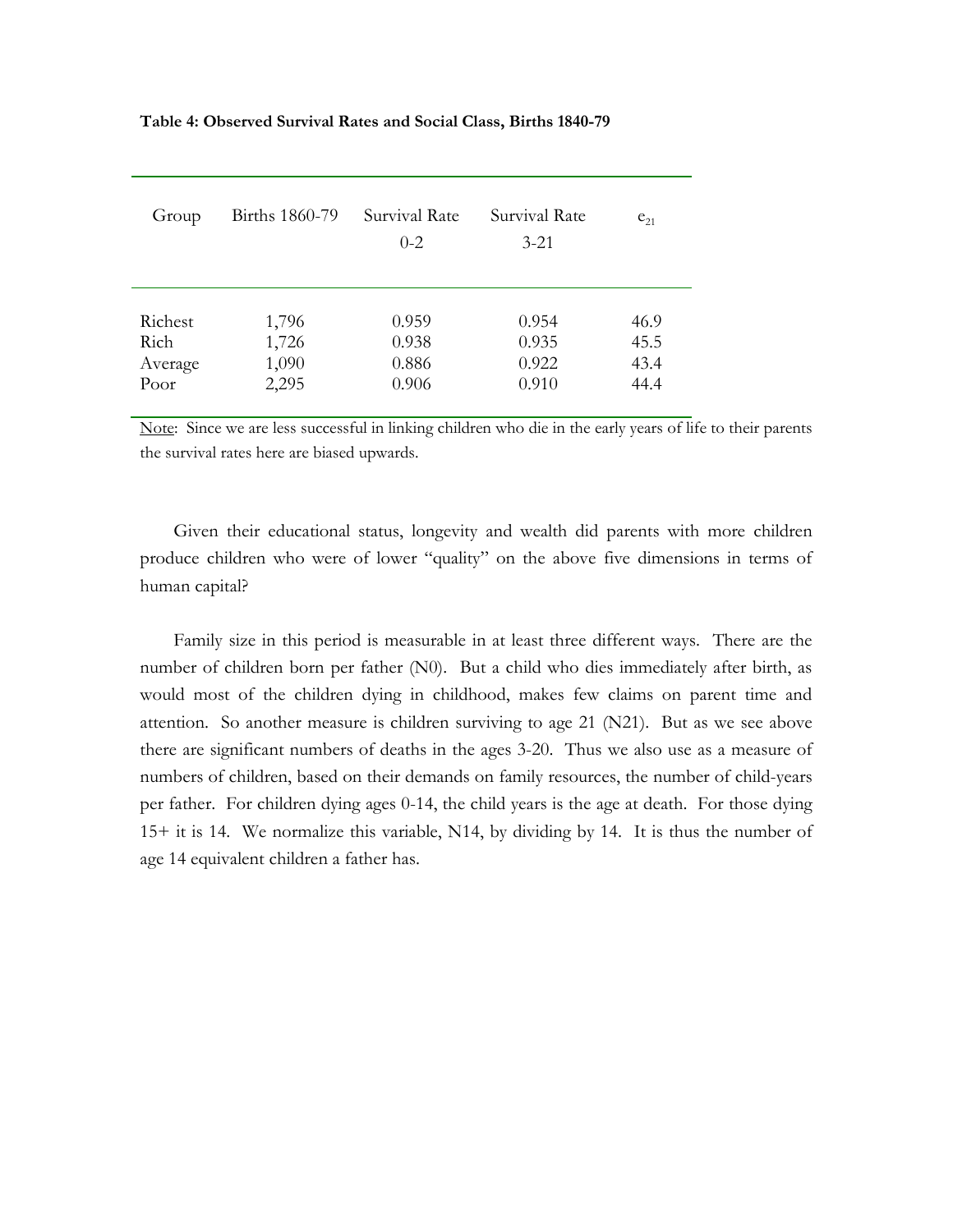| Group   | Births 1860-79 | Survival Rate<br>$0 - 2$ | Survival Rate<br>$3 - 21$ | $e_{21}$ |
|---------|----------------|--------------------------|---------------------------|----------|
| Richest | 1,796          | 0.959                    | 0.954                     | 46.9     |
| Rich    | 1,726          | 0.938                    | 0.935                     | 45.5     |
| Average | 1,090          | 0.886                    | 0.922                     | 43.4     |
| Poor    | 2,295          | 0.906                    | 0.910                     | 44.4     |

## **Table 4: Observed Survival Rates and Social Class, Births 1840-79**

Note: Since we are less successful in linking children who die in the early years of life to their parents the survival rates here are biased upwards.

Given their educational status, longevity and wealth did parents with more children produce children who were of lower "quality" on the above five dimensions in terms of human capital?

Family size in this period is measurable in at least three different ways. There are the number of children born per father (N0). But a child who dies immediately after birth, as would most of the children dying in childhood, makes few claims on parent time and attention. So another measure is children surviving to age 21 (N21). But as we see above there are significant numbers of deaths in the ages 3-20. Thus we also use as a measure of numbers of children, based on their demands on family resources, the number of child-years per father. For children dying ages 0-14, the child years is the age at death. For those dying 15+ it is 14. We normalize this variable, N14, by dividing by 14. It is thus the number of age 14 equivalent children a father has.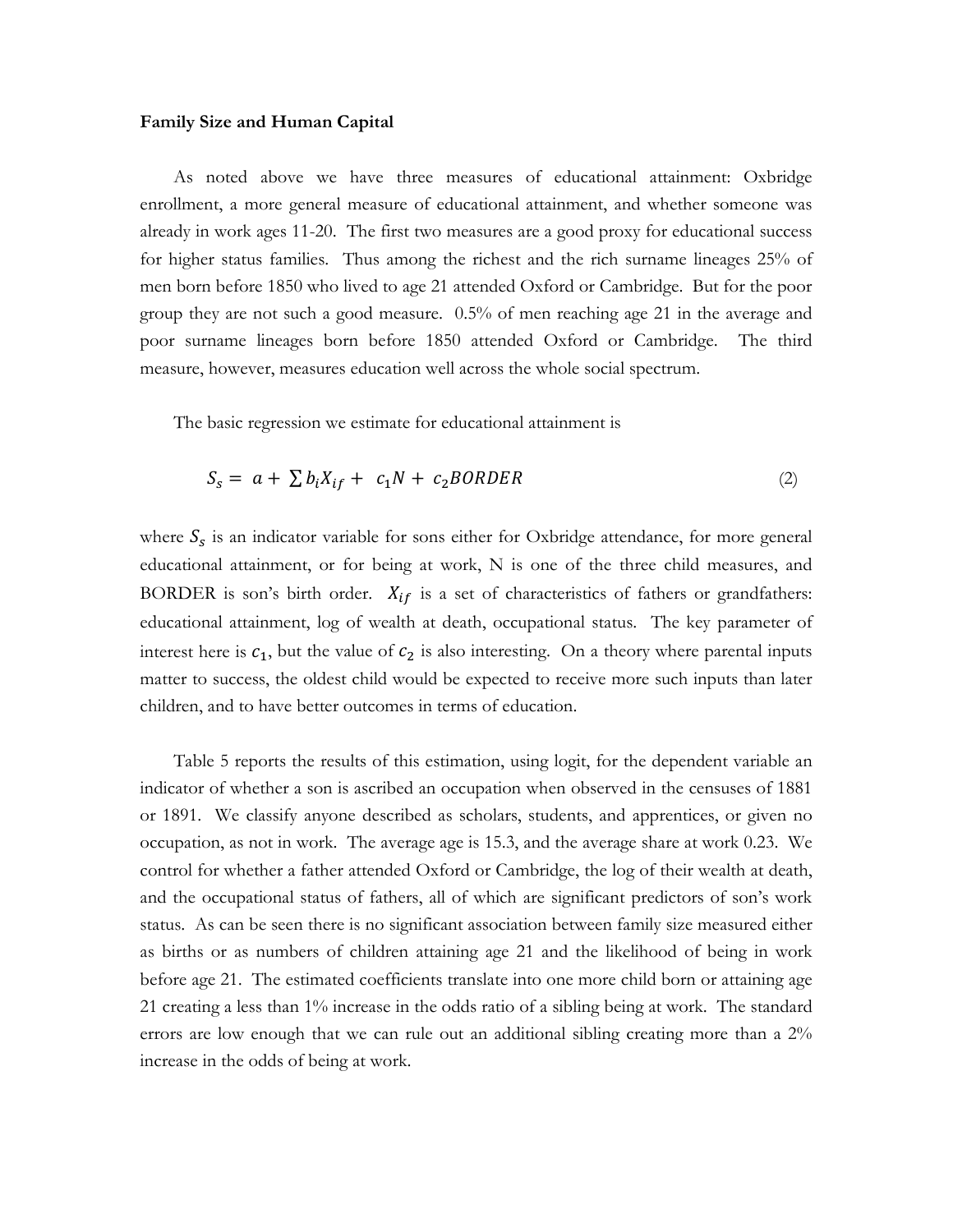### **Family Size and Human Capital**

As noted above we have three measures of educational attainment: Oxbridge enrollment, a more general measure of educational attainment, and whether someone was already in work ages 11-20. The first two measures are a good proxy for educational success for higher status families. Thus among the richest and the rich surname lineages 25% of men born before 1850 who lived to age 21 attended Oxford or Cambridge. But for the poor group they are not such a good measure. 0.5% of men reaching age 21 in the average and poor surname lineages born before 1850 attended Oxford or Cambridge. The third measure, however, measures education well across the whole social spectrum.

The basic regression we estimate for educational attainment is

$$
S_s = a + \sum b_i X_{if} + c_1 N + c_2 BORDER \tag{2}
$$

where  $S_s$  is an indicator variable for sons either for Oxbridge attendance, for more general educational attainment, or for being at work, N is one of the three child measures, and BORDER is son's birth order.  $X_{if}$  is a set of characteristics of fathers or grandfathers: educational attainment, log of wealth at death, occupational status. The key parameter of interest here is  $c_1$ , but the value of  $c_2$  is also interesting. On a theory where parental inputs matter to success, the oldest child would be expected to receive more such inputs than later children, and to have better outcomes in terms of education.

Table 5 reports the results of this estimation, using logit, for the dependent variable an indicator of whether a son is ascribed an occupation when observed in the censuses of 1881 or 1891. We classify anyone described as scholars, students, and apprentices, or given no occupation, as not in work. The average age is 15.3, and the average share at work 0.23. We control for whether a father attended Oxford or Cambridge, the log of their wealth at death, and the occupational status of fathers, all of which are significant predictors of son's work status. As can be seen there is no significant association between family size measured either as births or as numbers of children attaining age 21 and the likelihood of being in work before age 21. The estimated coefficients translate into one more child born or attaining age 21 creating a less than 1% increase in the odds ratio of a sibling being at work. The standard errors are low enough that we can rule out an additional sibling creating more than a 2% increase in the odds of being at work.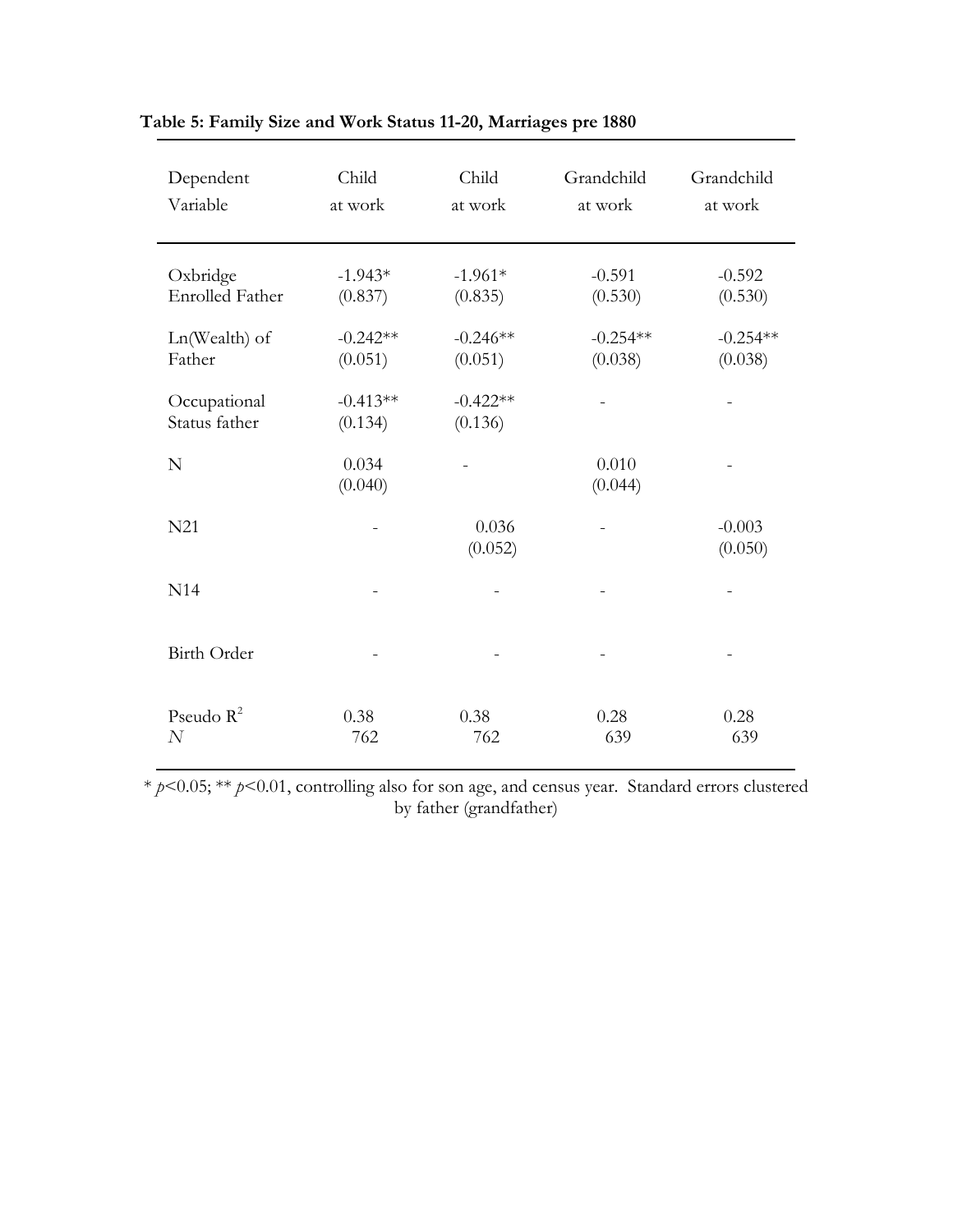| Dependent<br>Variable              | Child<br>at work      | Child<br>at work      | Grandchild<br>at work | Grandchild<br>at work |
|------------------------------------|-----------------------|-----------------------|-----------------------|-----------------------|
| Oxbridge<br><b>Enrolled Father</b> | $-1.943*$<br>(0.837)  | $-1.961*$<br>(0.835)  | $-0.591$<br>(0.530)   | $-0.592$<br>(0.530)   |
| Ln(Wealth) of<br>Father            | $-0.242**$<br>(0.051) | $-0.246**$<br>(0.051) | $-0.254**$<br>(0.038) | $-0.254**$<br>(0.038) |
| Occupational<br>Status father      | $-0.413**$<br>(0.134) | $-0.422**$<br>(0.136) |                       |                       |
| N                                  | 0.034<br>(0.040)      |                       | 0.010<br>(0.044)      |                       |
| N21                                |                       | 0.036<br>(0.052)      |                       | $-0.003$<br>(0.050)   |
| N14                                |                       |                       |                       |                       |
| <b>Birth Order</b>                 |                       |                       |                       |                       |
| Pseudo $R^2$<br>$\overline{N}$     | 0.38<br>762           | 0.38<br>762           | 0.28<br>639           | 0.28<br>639           |

# **Table 5: Family Size and Work Status 11-20, Marriages pre 1880**

\* *p*<0.05; \*\* *p*<0.01, controlling also for son age, and census year. Standard errors clustered by father (grandfather)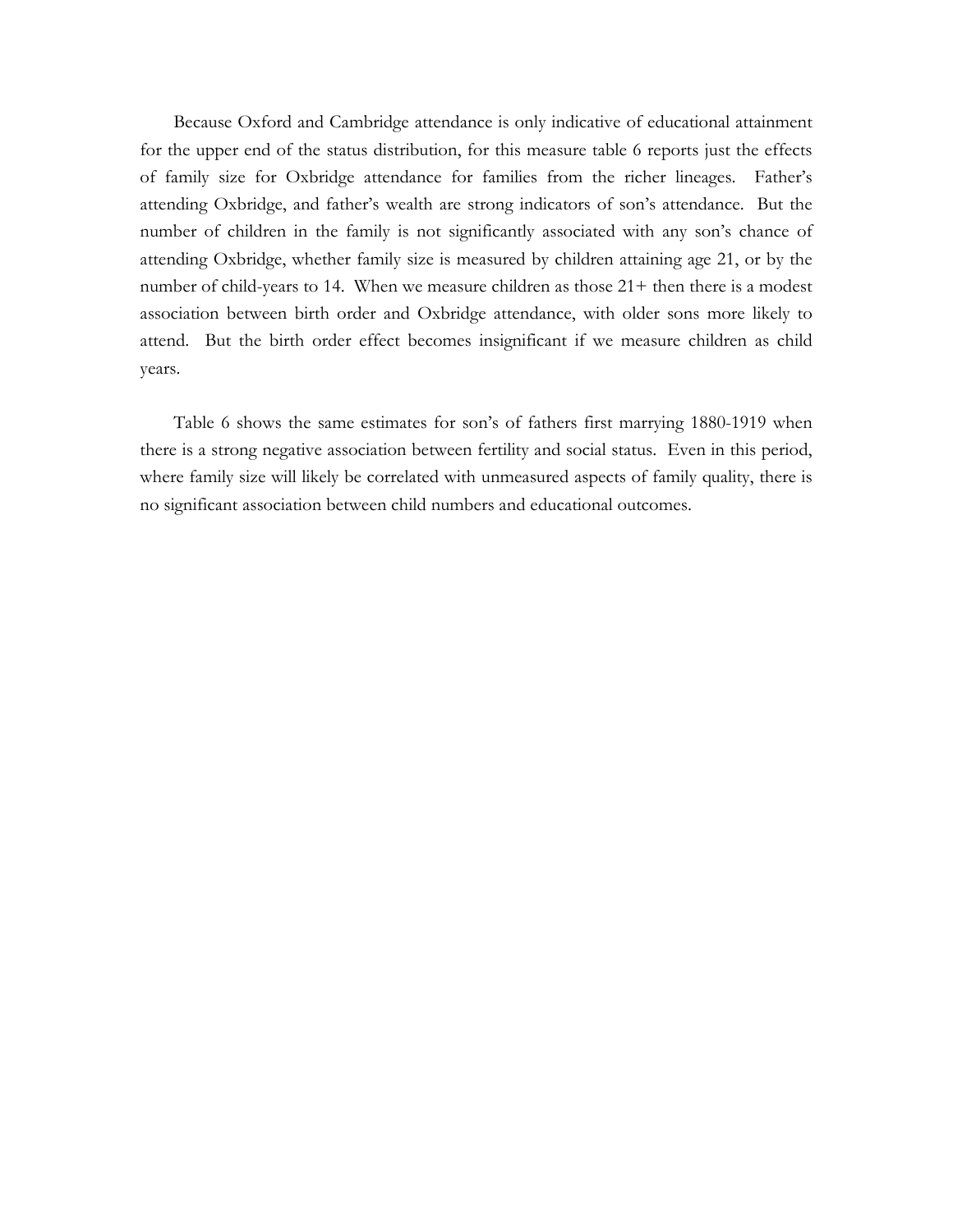Because Oxford and Cambridge attendance is only indicative of educational attainment for the upper end of the status distribution, for this measure table 6 reports just the effects of family size for Oxbridge attendance for families from the richer lineages. Father's attending Oxbridge, and father's wealth are strong indicators of son's attendance. But the number of children in the family is not significantly associated with any son's chance of attending Oxbridge, whether family size is measured by children attaining age 21, or by the number of child-years to 14. When we measure children as those 21+ then there is a modest association between birth order and Oxbridge attendance, with older sons more likely to attend. But the birth order effect becomes insignificant if we measure children as child years.

Table 6 shows the same estimates for son's of fathers first marrying 1880-1919 when there is a strong negative association between fertility and social status. Even in this period, where family size will likely be correlated with unmeasured aspects of family quality, there is no significant association between child numbers and educational outcomes.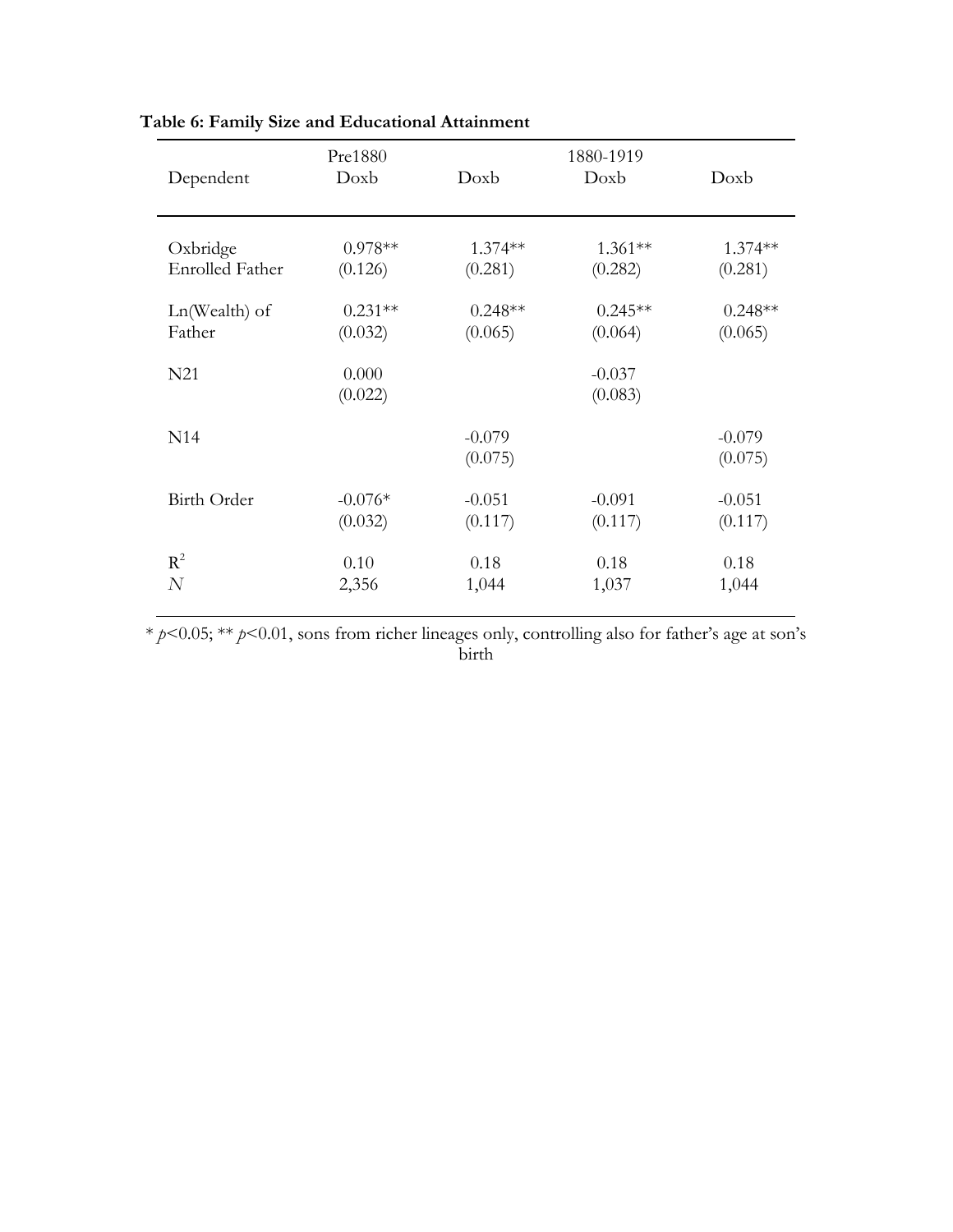| Dependent       | Pre1880<br>Doxb  | Doxb                | 1880-1919<br>Doxb   | Doxb                |
|-----------------|------------------|---------------------|---------------------|---------------------|
| Oxbridge        | $0.978**$        | 1.374 **            | $1.361**$           | $1.374**$           |
| Enrolled Father | (0.126)          | (0.281)             | (0.282)             | (0.281)             |
| Ln(Wealth) of   | $0.231**$        | $0.248**$           | $0.245**$           | $0.248**$           |
| Father          | (0.032)          | (0.065)             | (0.064)             | (0.065)             |
| N21             | 0.000<br>(0.022) |                     | $-0.037$<br>(0.083) |                     |
| N <sub>14</sub> |                  | $-0.079$<br>(0.075) |                     | $-0.079$<br>(0.075) |
| Birth Order     | $-0.076*$        | $-0.051$            | $-0.091$            | $-0.051$            |
|                 | (0.032)          | (0.117)             | (0.117)             | (0.117)             |
| $R^2$           | 0.10             | 0.18                | 0.18                | 0.18                |
| N               | 2,356            | 1,044               | 1,037               | 1,044               |

# **Table 6: Family Size and Educational Attainment**

\* *p*<0.05; \*\* *p*<0.01, sons from richer lineages only, controlling also for father's age at son's birth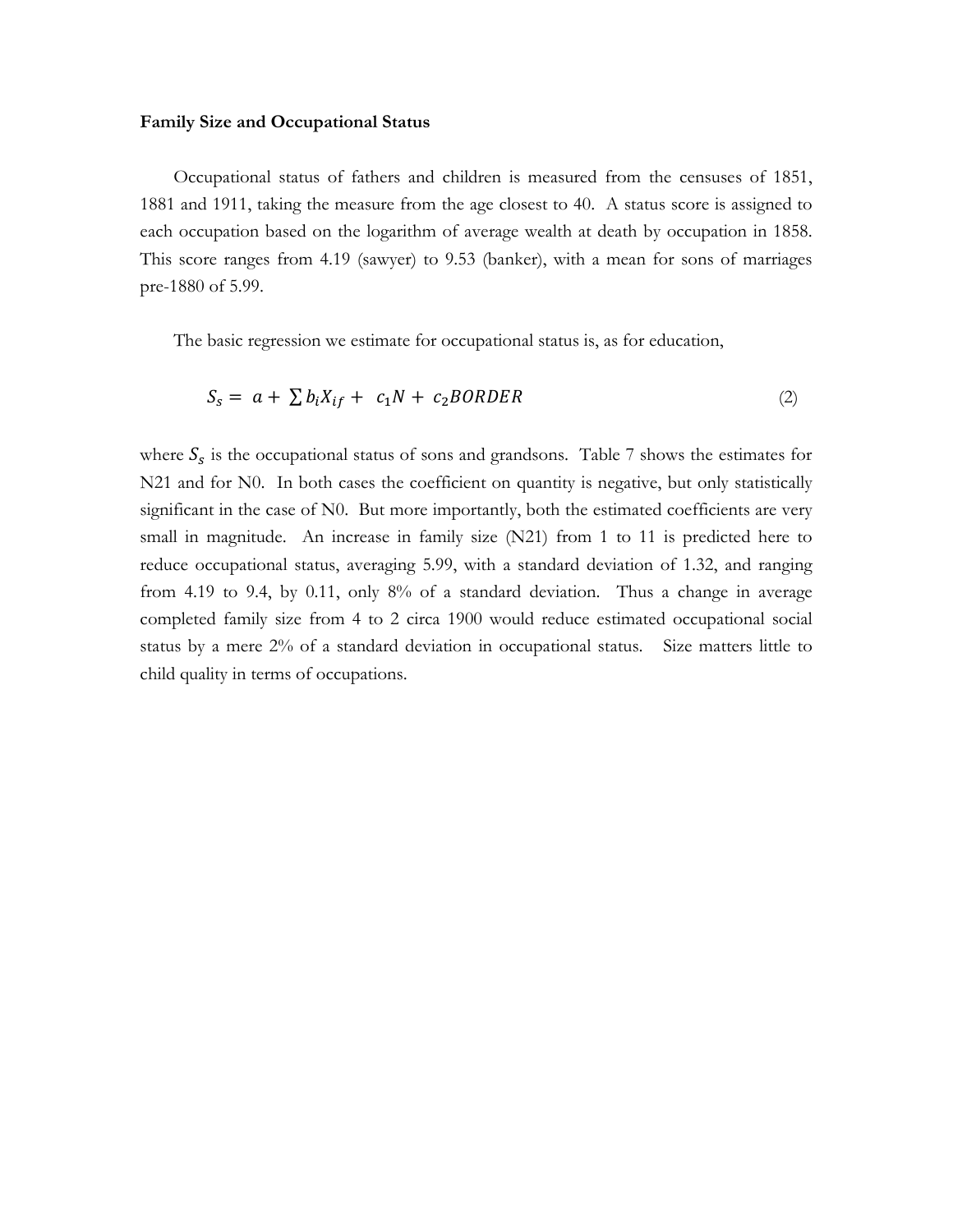### **Family Size and Occupational Status**

Occupational status of fathers and children is measured from the censuses of 1851, 1881 and 1911, taking the measure from the age closest to 40. A status score is assigned to each occupation based on the logarithm of average wealth at death by occupation in 1858. This score ranges from 4.19 (sawyer) to 9.53 (banker), with a mean for sons of marriages pre-1880 of 5.99.

The basic regression we estimate for occupational status is, as for education,

$$
S_s = a + \sum b_i X_{if} + c_1 N + c_2 BORDER \tag{2}
$$

where  $S_s$  is the occupational status of sons and grandsons. Table 7 shows the estimates for N21 and for N0. In both cases the coefficient on quantity is negative, but only statistically significant in the case of N0. But more importantly, both the estimated coefficients are very small in magnitude. An increase in family size (N21) from 1 to 11 is predicted here to reduce occupational status, averaging 5.99, with a standard deviation of 1.32, and ranging from 4.19 to 9.4, by 0.11, only 8% of a standard deviation. Thus a change in average completed family size from 4 to 2 circa 1900 would reduce estimated occupational social status by a mere 2% of a standard deviation in occupational status. Size matters little to child quality in terms of occupations.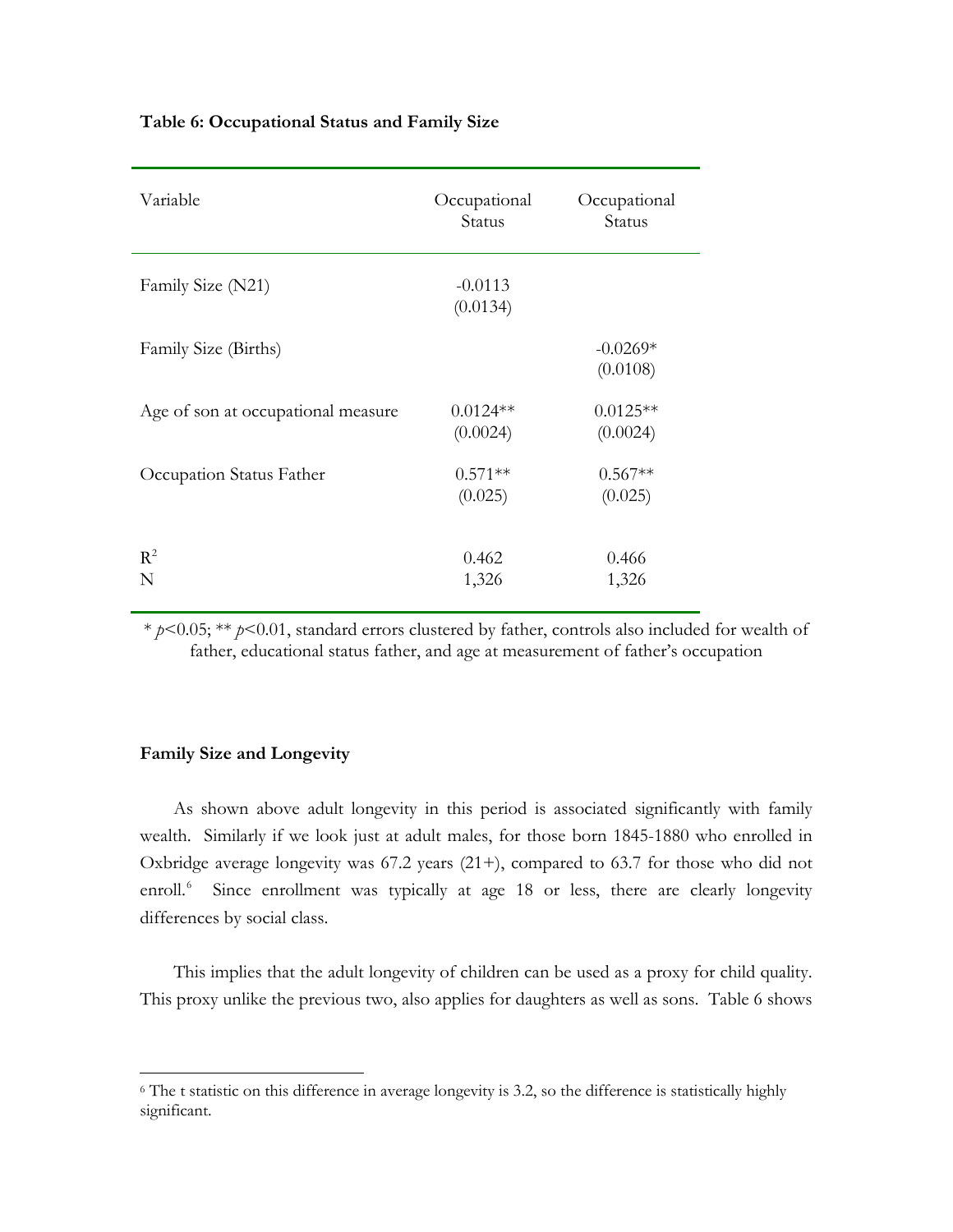| Variable                           | Occupational<br>Status | Occupational<br>Status |
|------------------------------------|------------------------|------------------------|
| Family Size (N21)                  | $-0.0113$<br>(0.0134)  |                        |
| Family Size (Births)               |                        | $-0.0269*$<br>(0.0108) |
| Age of son at occupational measure | $0.0124**$<br>(0.0024) | $0.0125**$<br>(0.0024) |
| Occupation Status Father           | $0.571**$<br>(0.025)   | $0.567**$<br>(0.025)   |
| $R^2$<br>N                         | 0.462<br>1,326         | 0.466<br>1,326         |

# **Table 6: Occupational Status and Family Size**

\* *p*<0.05; \*\* *p*<0.01, standard errors clustered by father, controls also included for wealth of father, educational status father, and age at measurement of father's occupation

# **Family Size and Longevity**

 $\overline{\phantom{a}}$ 

As shown above adult longevity in this period is associated significantly with family wealth. Similarly if we look just at adult males, for those born 1845-1880 who enrolled in Oxbridge average longevity was 67.2 years (21+), compared to 63.7 for those who did not enroll.<sup>[6](#page-21-0)</sup> Since enrollment was typically at age 18 or less, there are clearly longevity differences by social class.

This implies that the adult longevity of children can be used as a proxy for child quality. This proxy unlike the previous two, also applies for daughters as well as sons. Table 6 shows

<span id="page-21-0"></span><sup>&</sup>lt;sup>6</sup> The t statistic on this difference in average longevity is 3.2, so the difference is statistically highly significant.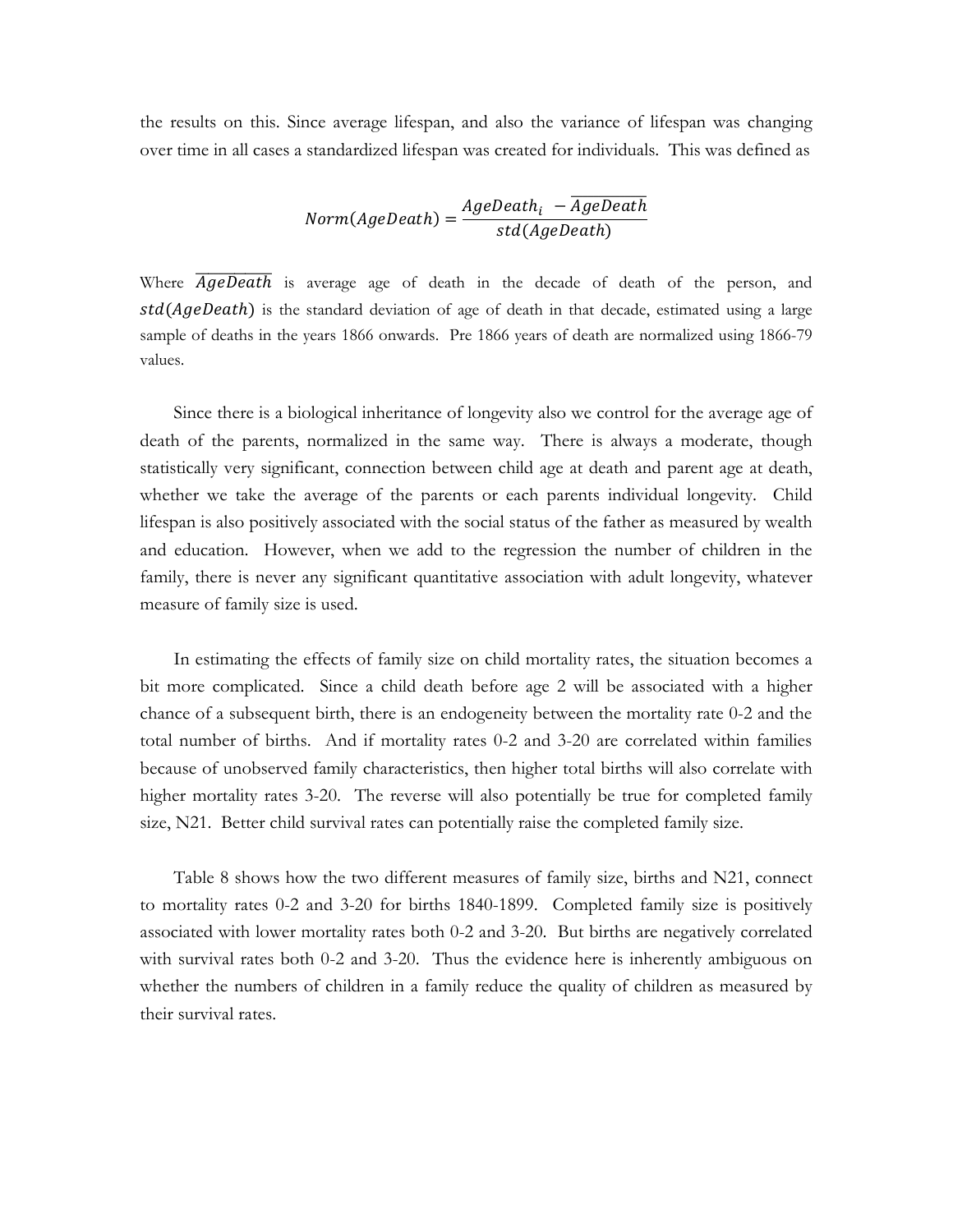the results on this. Since average lifespan, and also the variance of lifespan was changing over time in all cases a standardized lifespan was created for individuals. This was defined as

$$
Norm(AgeDeath) = \frac{AgeDeath_i - \overline{AgeDeath}}{std(AgeDeath)}
$$

Where *AgeDeath* is average age of death in the decade of death of the person, and  $std(AgeDeath)$  is the standard deviation of age of death in that decade, estimated using a large sample of deaths in the years 1866 onwards. Pre 1866 years of death are normalized using 1866-79 values.

Since there is a biological inheritance of longevity also we control for the average age of death of the parents, normalized in the same way. There is always a moderate, though statistically very significant, connection between child age at death and parent age at death, whether we take the average of the parents or each parents individual longevity. Child lifespan is also positively associated with the social status of the father as measured by wealth and education. However, when we add to the regression the number of children in the family, there is never any significant quantitative association with adult longevity, whatever measure of family size is used.

In estimating the effects of family size on child mortality rates, the situation becomes a bit more complicated. Since a child death before age 2 will be associated with a higher chance of a subsequent birth, there is an endogeneity between the mortality rate 0-2 and the total number of births. And if mortality rates 0-2 and 3-20 are correlated within families because of unobserved family characteristics, then higher total births will also correlate with higher mortality rates 3-20. The reverse will also potentially be true for completed family size, N21. Better child survival rates can potentially raise the completed family size.

Table 8 shows how the two different measures of family size, births and N21, connect to mortality rates 0-2 and 3-20 for births 1840-1899. Completed family size is positively associated with lower mortality rates both 0-2 and 3-20. But births are negatively correlated with survival rates both 0-2 and 3-20. Thus the evidence here is inherently ambiguous on whether the numbers of children in a family reduce the quality of children as measured by their survival rates.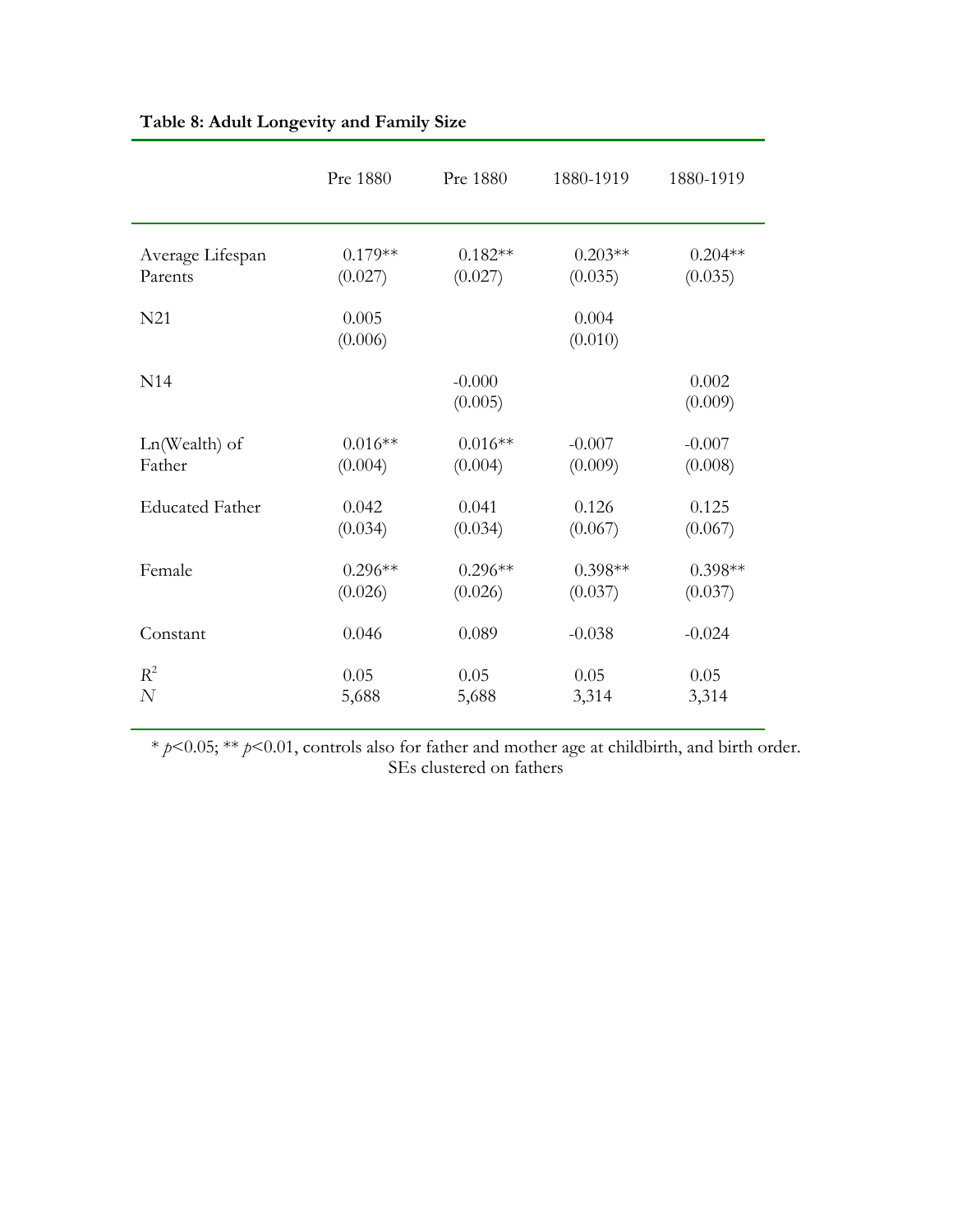|                        | Pre 1880         | Pre 1880            | 1880-1919        | 1880-1919        |
|------------------------|------------------|---------------------|------------------|------------------|
| Average Lifespan       | $0.179**$        | $0.182**$           | $0.203**$        | $0.204**$        |
| Parents                | (0.027)          | (0.027)             | (0.035)          | (0.035)          |
| N21                    | 0.005<br>(0.006) |                     | 0.004<br>(0.010) |                  |
| N <sub>14</sub>        |                  | $-0.000$<br>(0.005) |                  | 0.002<br>(0.009) |
| Ln(Wealth) of          | $0.016**$        | $0.016**$           | $-0.007$         | $-0.007$         |
| Father                 | (0.004)          | (0.004)             | (0.009)          | (0.008)          |
| <b>Educated Father</b> | 0.042            | 0.041               | 0.126            | 0.125            |
|                        | (0.034)          | (0.034)             | (0.067)          | (0.067)          |
| Female                 | $0.296**$        | $0.296**$           | $0.398**$        | $0.398**$        |
|                        | (0.026)          | (0.026)             | (0.037)          | (0.037)          |
| Constant               | 0.046            | 0.089               | $-0.038$         | $-0.024$         |
| $R^2$                  | 0.05             | 0.05                | 0.05             | 0.05             |
| $\overline{N}$         | 5,688            | 5,688               | 3,314            | 3,314            |

# **Table 8: Adult Longevity and Family Size**

\* *p*<0.05; \*\* *p*<0.01, controls also for father and mother age at childbirth, and birth order. SEs clustered on fathers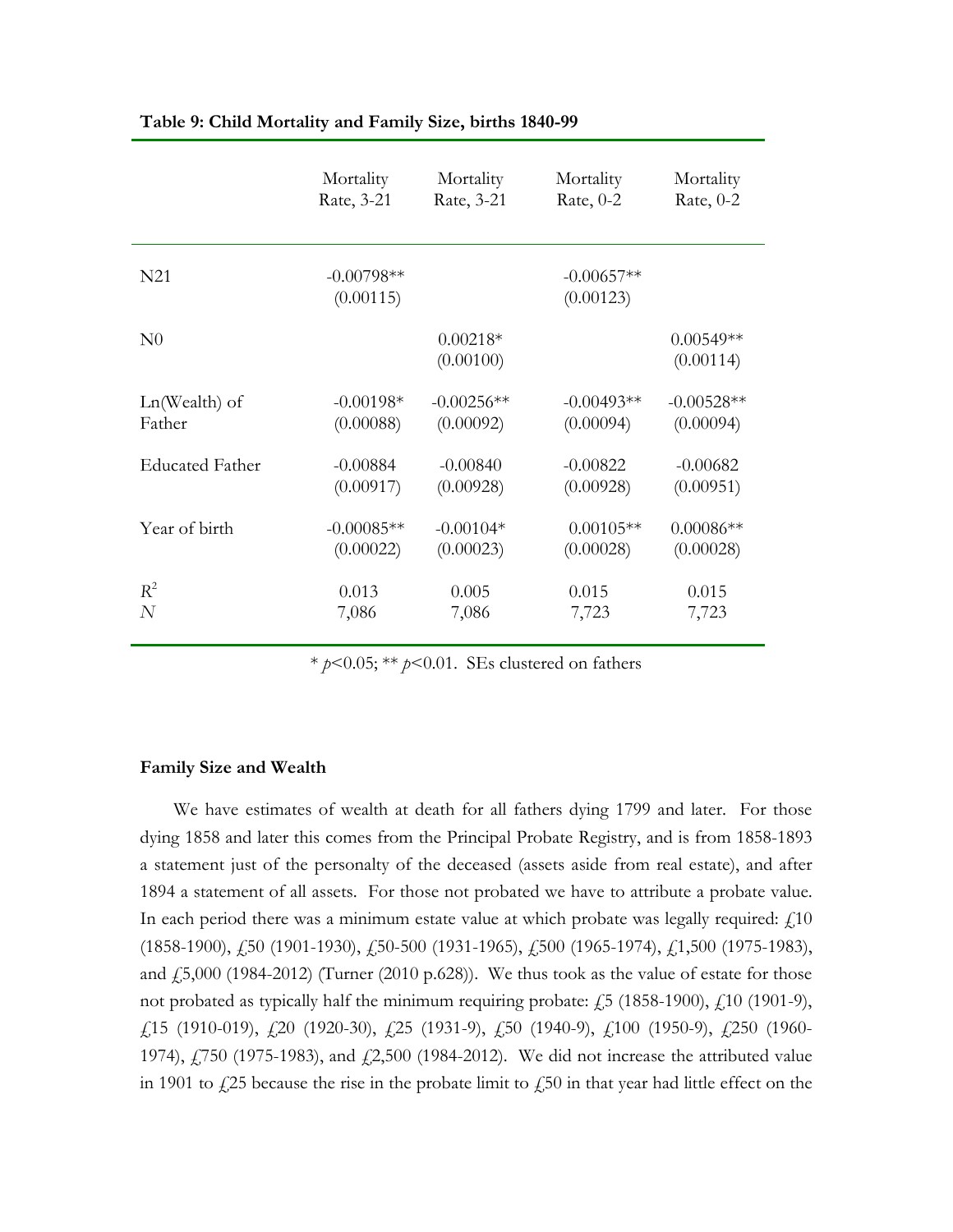|                 | Mortality                 | Mortality               | Mortality                 | Mortality                |
|-----------------|---------------------------|-------------------------|---------------------------|--------------------------|
|                 | Rate, 3-21                | Rate, 3-21              | Rate, $0-2$               | Rate, $0-2$              |
| N <sub>21</sub> | $-0.00798**$<br>(0.00115) |                         | $-0.00657**$<br>(0.00123) |                          |
| N <sub>0</sub>  |                           | $0.00218*$<br>(0.00100) |                           | $0.00549**$<br>(0.00114) |
| $Ln(Wealth)$ of | $-0.00198*$               | $-0.00256**$            | $-0.00493**$              | $-0.00528**$             |
| Father          | (0.00088)                 | (0.00092)               | (0.00094)                 | (0.00094)                |
| Educated Father | $-0.00884$                | $-0.00840$              | $-0.00822$                | $-0.00682$               |
|                 | (0.00917)                 | (0.00928)               | (0.00928)                 | (0.00951)                |
| Year of birth   | $-0.00085**$              | $-0.00104*$             | $0.00105**$               | $0.00086**$              |
|                 | (0.00022)                 | (0.00023)               | (0.00028)                 | (0.00028)                |
| $R^2$           | 0.013                     | 0.005                   | 0.015                     | 0.015                    |
| $\overline{N}$  | 7,086                     | 7,086                   | 7,723                     | 7,723                    |

### **Table 9: Child Mortality and Family Size, births 1840-99**

\* *p*<0.05; \*\* *p*<0.01. SEs clustered on fathers

# **Family Size and Wealth**

We have estimates of wealth at death for all fathers dying 1799 and later. For those dying 1858 and later this comes from the Principal Probate Registry, and is from 1858-1893 a statement just of the personalty of the deceased (assets aside from real estate), and after 1894 a statement of all assets. For those not probated we have to attribute a probate value. In each period there was a minimum estate value at which probate was legally required:  $\text{\textsterling}10$ (1858-1900), £50 (1901-1930), £50-500 (1931-1965), £500 (1965-1974), £1,500 (1975-1983), and  $\text{\emph{f}}5,000$  (1984-2012) (Turner (2010 p.628)). We thus took as the value of estate for those not probated as typically half the minimum requiring probate:  $\dot{f}$  5 (1858-1900),  $\dot{f}$  10 (1901-9), £15 (1910-019), £20 (1920-30), £25 (1931-9), £50 (1940-9), £100 (1950-9), £250 (1960- 1974), £750 (1975-1983), and £2,500 (1984-2012). We did not increase the attributed value in 1901 to  $\frac{1}{25}$  because the rise in the probate limit to  $\frac{1}{250}$  in that year had little effect on the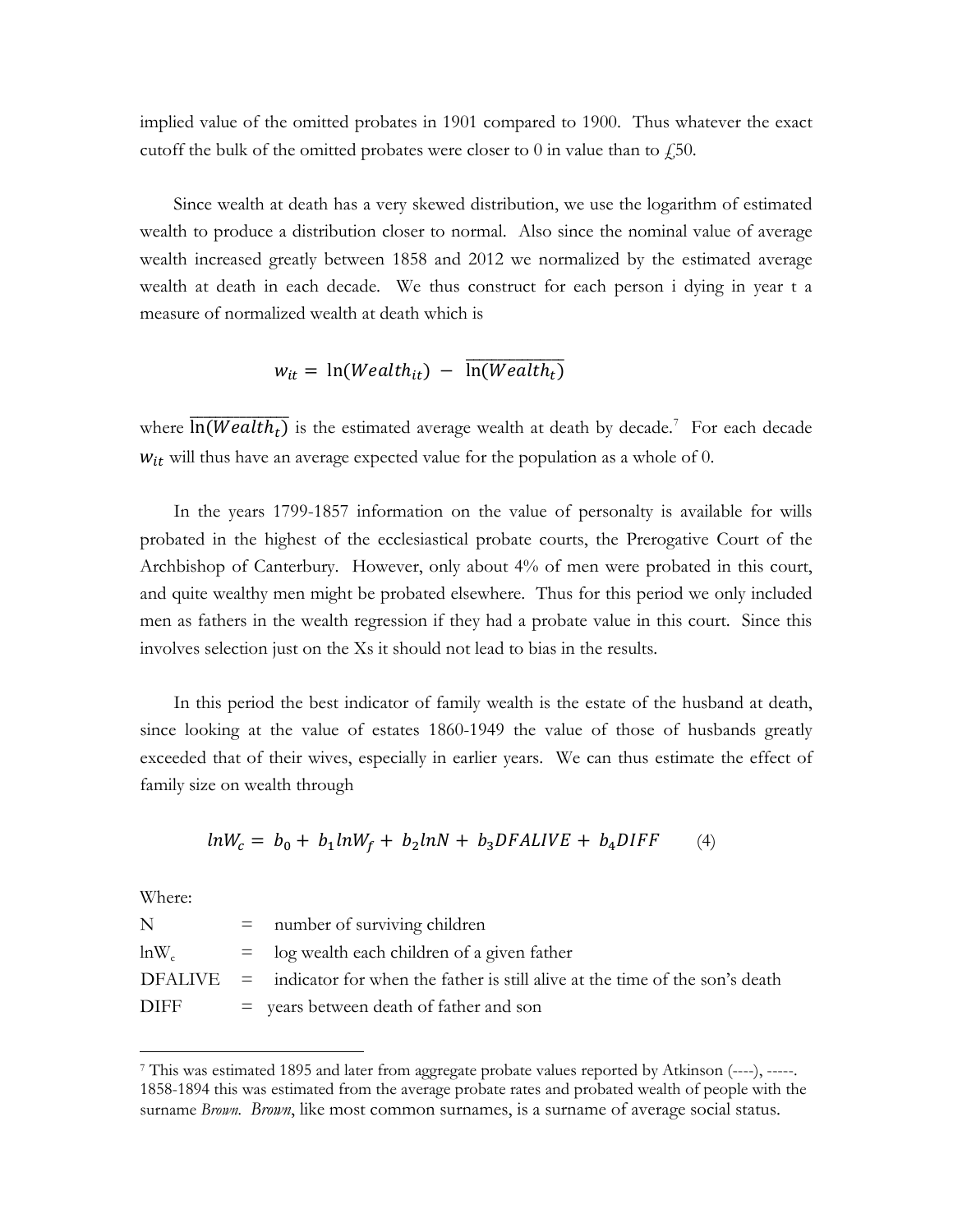implied value of the omitted probates in 1901 compared to 1900. Thus whatever the exact cutoff the bulk of the omitted probates were closer to 0 in value than to  $\zeta$ , 50.

Since wealth at death has a very skewed distribution, we use the logarithm of estimated wealth to produce a distribution closer to normal. Also since the nominal value of average wealth increased greatly between 1858 and 2012 we normalized by the estimated average wealth at death in each decade. We thus construct for each person i dying in year t a measure of normalized wealth at death which is

$$
w_{it} = \ln(Weather_{it}) - \overline{\ln(Weather_{t})}
$$

where  $\overline{\ln(Weather)}$  is the estimated average wealth at death by decade.<sup>[7](#page-25-0)</sup> For each decade  $w_{it}$  will thus have an average expected value for the population as a whole of 0.

In the years 1799-1857 information on the value of personalty is available for wills probated in the highest of the ecclesiastical probate courts, the Prerogative Court of the Archbishop of Canterbury. However, only about 4% of men were probated in this court, and quite wealthy men might be probated elsewhere. Thus for this period we only included men as fathers in the wealth regression if they had a probate value in this court. Since this involves selection just on the Xs it should not lead to bias in the results.

In this period the best indicator of family wealth is the estate of the husband at death, since looking at the value of estates 1860-1949 the value of those of husbands greatly exceeded that of their wives, especially in earlier years. We can thus estimate the effect of family size on wealth through

$$
lnW_c = b_0 + b_1 lnW_f + b_2 lnN + b_3 DFALIVE + b_4 DIFF \tag{4}
$$

Where:

 $\overline{\phantom{a}}$ 

| N           | $=$ number of surviving children                                                                 |
|-------------|--------------------------------------------------------------------------------------------------|
| $lnW_c$     | $=$ log wealth each children of a given father                                                   |
|             | $DFALIVE = indicate$ indicator for when the father is still alive at the time of the son's death |
| <b>DIFF</b> | $=$ years between death of father and son                                                        |

<span id="page-25-0"></span><sup>7</sup> This was estimated 1895 and later from aggregate probate values reported by Atkinson (----), -----. 1858-1894 this was estimated from the average probate rates and probated wealth of people with the surname *Brown. Brown*, like most common surnames, is a surname of average social status.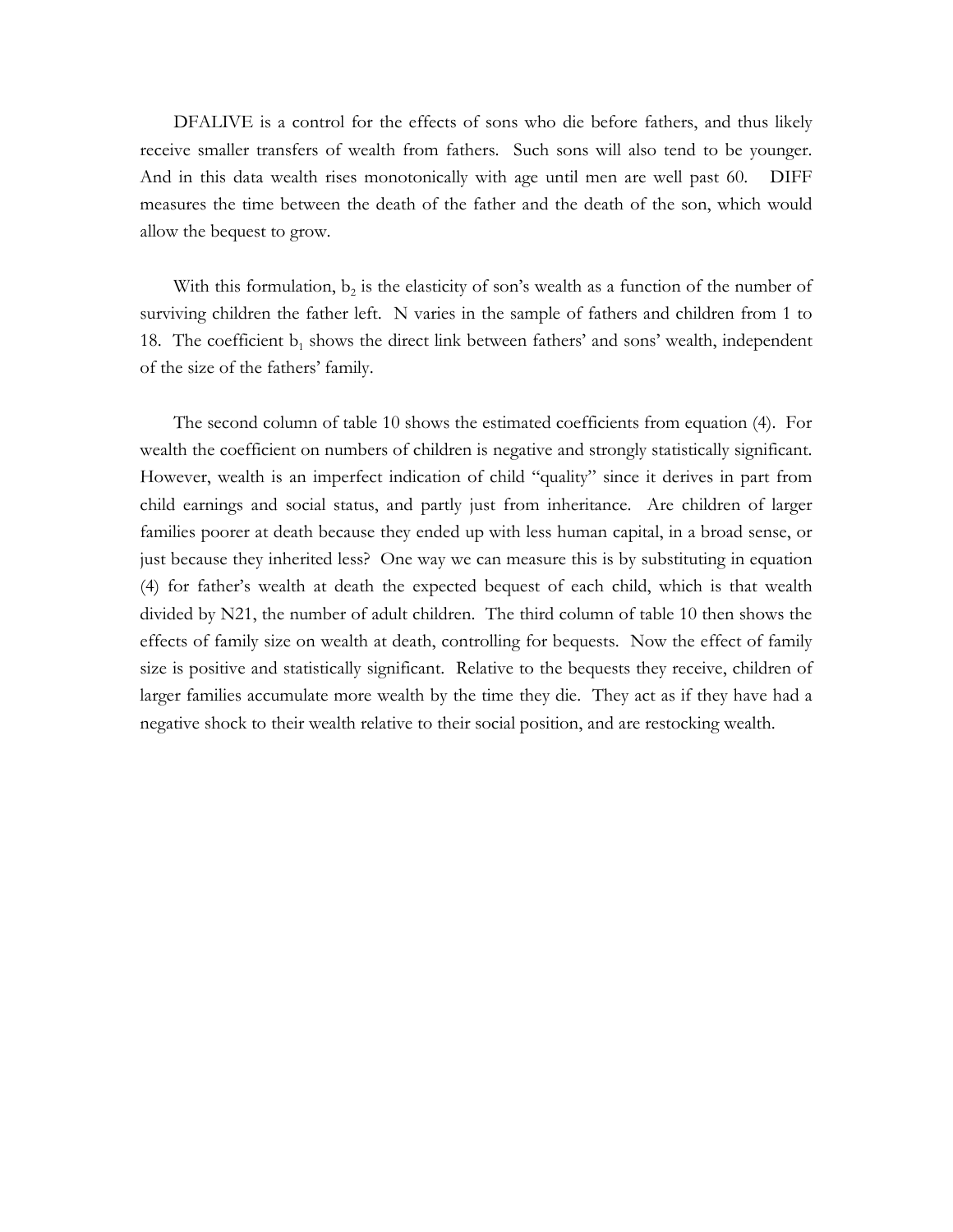DFALIVE is a control for the effects of sons who die before fathers, and thus likely receive smaller transfers of wealth from fathers. Such sons will also tend to be younger. And in this data wealth rises monotonically with age until men are well past 60. DIFF measures the time between the death of the father and the death of the son, which would allow the bequest to grow.

With this formulation,  $b_2$  is the elasticity of son's wealth as a function of the number of surviving children the father left. N varies in the sample of fathers and children from 1 to 18. The coefficient  $b_1$  shows the direct link between fathers' and sons' wealth, independent of the size of the fathers' family.

The second column of table 10 shows the estimated coefficients from equation (4). For wealth the coefficient on numbers of children is negative and strongly statistically significant. However, wealth is an imperfect indication of child "quality" since it derives in part from child earnings and social status, and partly just from inheritance. Are children of larger families poorer at death because they ended up with less human capital, in a broad sense, or just because they inherited less? One way we can measure this is by substituting in equation (4) for father's wealth at death the expected bequest of each child, which is that wealth divided by N21, the number of adult children. The third column of table 10 then shows the effects of family size on wealth at death, controlling for bequests. Now the effect of family size is positive and statistically significant. Relative to the bequests they receive, children of larger families accumulate more wealth by the time they die. They act as if they have had a negative shock to their wealth relative to their social position, and are restocking wealth.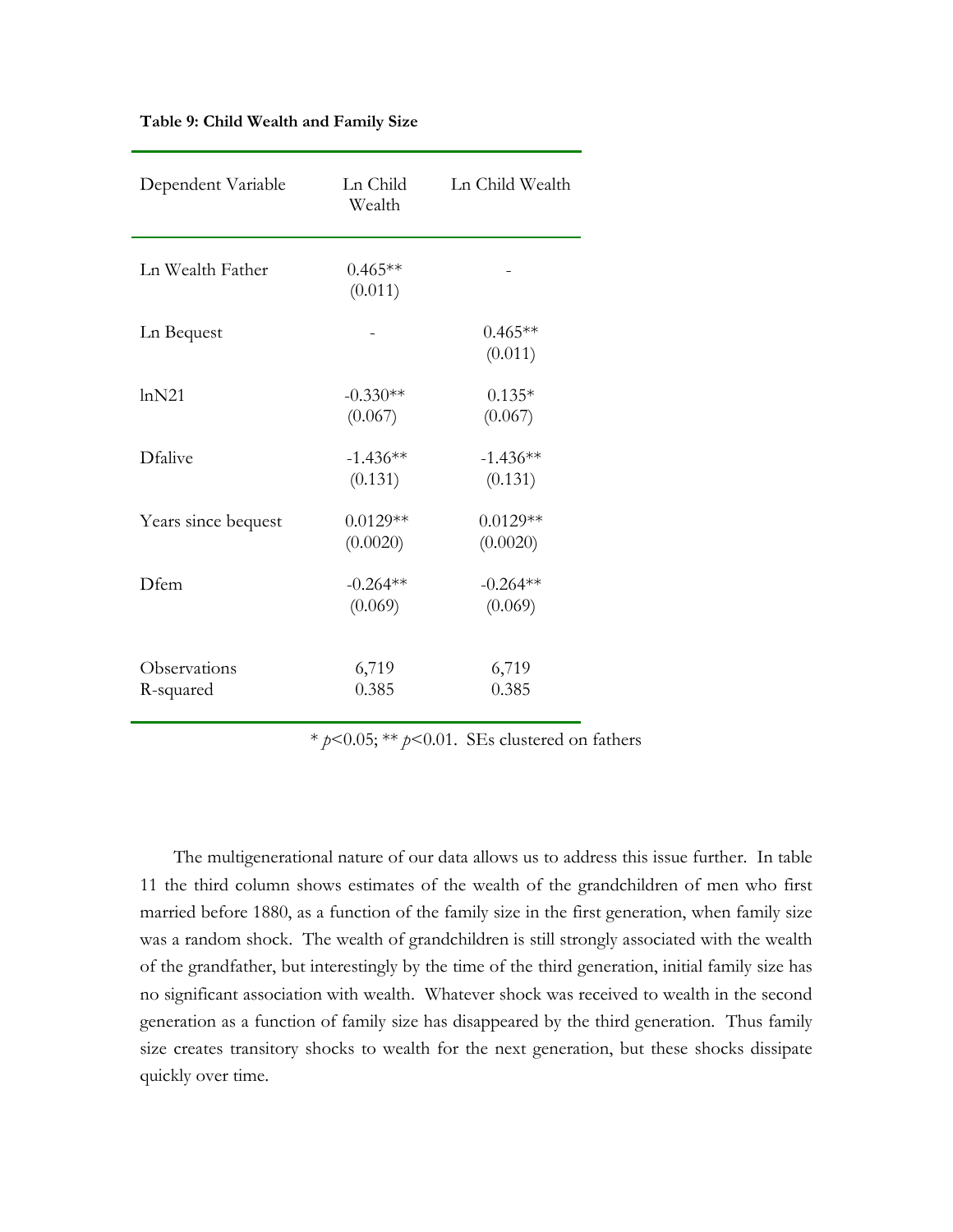| Dependent Variable        | Ln Child<br>Wealth     | Ln Child Wealth        |
|---------------------------|------------------------|------------------------|
| Ln Wealth Father          | $0.465**$<br>(0.011)   |                        |
| Ln Bequest                |                        | $0.465**$<br>(0.011)   |
| lnN21                     | $-0.330**$<br>(0.067)  | $0.135*$<br>(0.067)    |
| <b>Dfalive</b>            | $-1.436**$<br>(0.131)  | $-1.436**$<br>(0.131)  |
| Years since bequest       | $0.0129**$<br>(0.0020) | $0.0129**$<br>(0.0020) |
| Dfem                      | $-0.264**$<br>(0.069)  | $-0.264**$<br>(0.069)  |
| Observations<br>R-squared | 6,719<br>0.385         | 6,719<br>0.385         |

#### **Table 9: Child Wealth and Family Size**

\* *p*<0.05; \*\* *p*<0.01. SEs clustered on fathers

The multigenerational nature of our data allows us to address this issue further. In table 11 the third column shows estimates of the wealth of the grandchildren of men who first married before 1880, as a function of the family size in the first generation, when family size was a random shock. The wealth of grandchildren is still strongly associated with the wealth of the grandfather, but interestingly by the time of the third generation, initial family size has no significant association with wealth. Whatever shock was received to wealth in the second generation as a function of family size has disappeared by the third generation. Thus family size creates transitory shocks to wealth for the next generation, but these shocks dissipate quickly over time.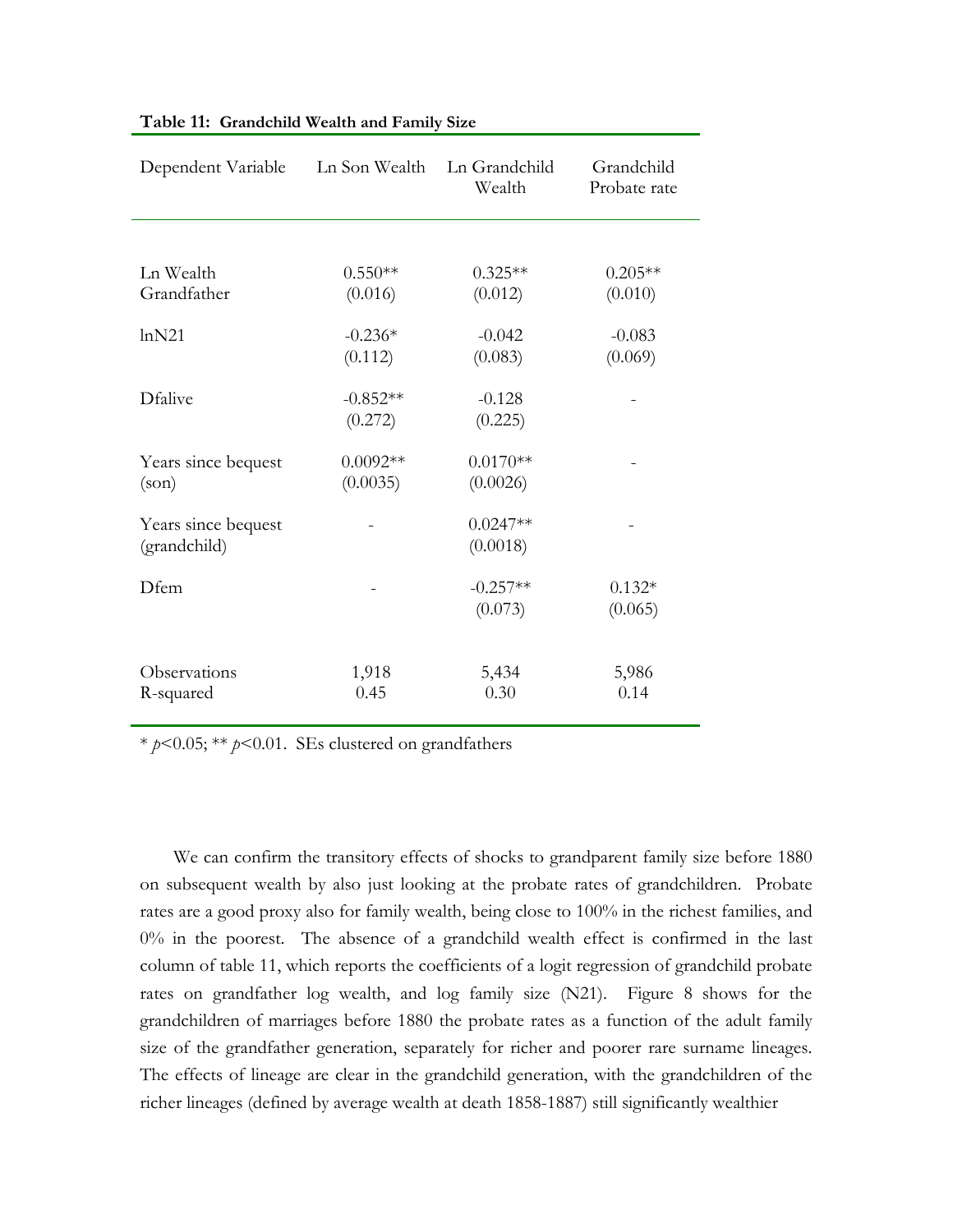| Dependent Variable  | Ln Son Wealth | Ln Grandchild<br>Wealth | Grandchild<br>Probate rate |
|---------------------|---------------|-------------------------|----------------------------|
|                     |               |                         |                            |
| Ln Wealth           | $0.550**$     | $0.325**$               | $0.205**$                  |
| Grandfather         | (0.016)       | (0.012)                 | (0.010)                    |
| lnN21               | $-0.236*$     | $-0.042$                | $-0.083$                   |
|                     | (0.112)       | (0.083)                 | (0.069)                    |
| Dfalive             | $-0.852**$    | $-0.128$                |                            |
|                     | (0.272)       | (0.225)                 |                            |
| Years since bequest | $0.0092**$    | $0.0170**$              |                            |
| (son)               | (0.0035)      | (0.0026)                |                            |
| Years since bequest |               | $0.0247**$              |                            |
| (grandchild)        |               | (0.0018)                |                            |
| Dfem                |               | $-0.257**$              | $0.132*$                   |
|                     |               | (0.073)                 | (0.065)                    |
|                     |               |                         |                            |
| Observations        | 1,918         | 5,434                   | 5,986                      |
| R-squared           | 0.45          | 0.30                    | 0.14                       |

# **Table 11: Grandchild Wealth and Family Size**

\* *p*<0.05; \*\* *p*<0.01. SEs clustered on grandfathers

We can confirm the transitory effects of shocks to grandparent family size before 1880 on subsequent wealth by also just looking at the probate rates of grandchildren. Probate rates are a good proxy also for family wealth, being close to 100% in the richest families, and 0% in the poorest. The absence of a grandchild wealth effect is confirmed in the last column of table 11, which reports the coefficients of a logit regression of grandchild probate rates on grandfather log wealth, and log family size (N21). Figure 8 shows for the grandchildren of marriages before 1880 the probate rates as a function of the adult family size of the grandfather generation, separately for richer and poorer rare surname lineages. The effects of lineage are clear in the grandchild generation, with the grandchildren of the richer lineages (defined by average wealth at death 1858-1887) still significantly wealthier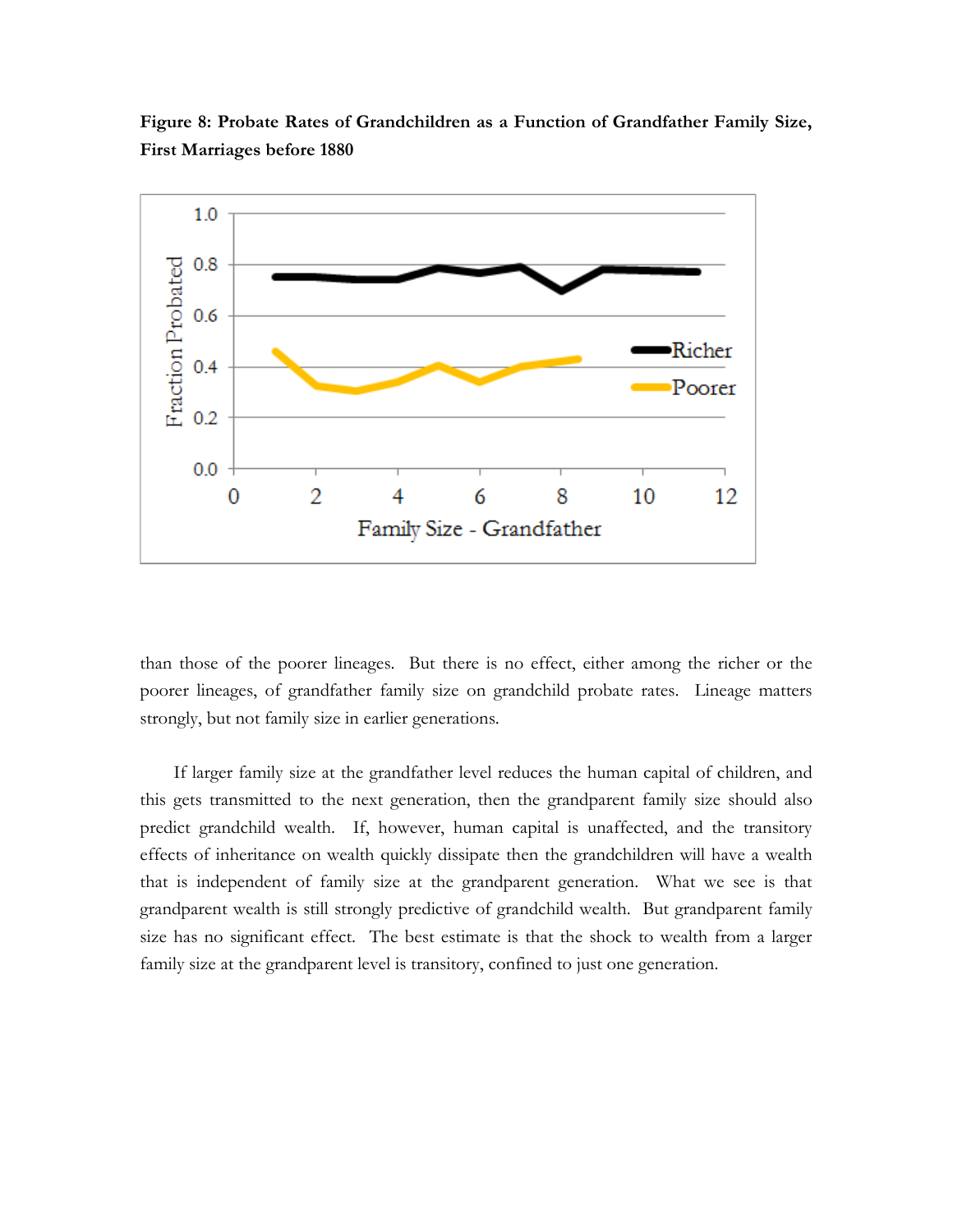

**Figure 8: Probate Rates of Grandchildren as a Function of Grandfather Family Size, First Marriages before 1880**

than those of the poorer lineages. But there is no effect, either among the richer or the poorer lineages, of grandfather family size on grandchild probate rates. Lineage matters strongly, but not family size in earlier generations.

If larger family size at the grandfather level reduces the human capital of children, and this gets transmitted to the next generation, then the grandparent family size should also predict grandchild wealth. If, however, human capital is unaffected, and the transitory effects of inheritance on wealth quickly dissipate then the grandchildren will have a wealth that is independent of family size at the grandparent generation. What we see is that grandparent wealth is still strongly predictive of grandchild wealth. But grandparent family size has no significant effect. The best estimate is that the shock to wealth from a larger family size at the grandparent level is transitory, confined to just one generation.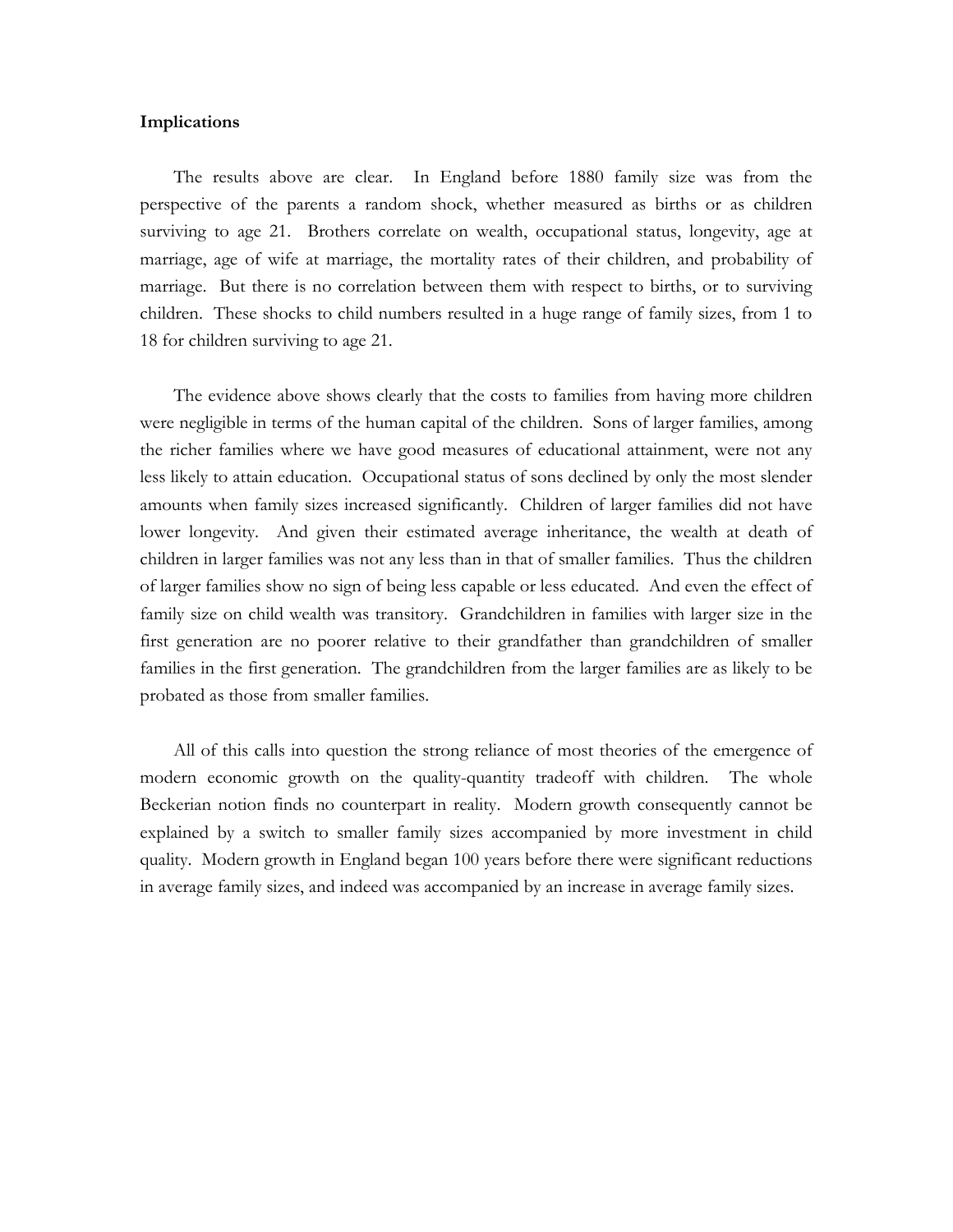# **Implications**

The results above are clear. In England before 1880 family size was from the perspective of the parents a random shock, whether measured as births or as children surviving to age 21. Brothers correlate on wealth, occupational status, longevity, age at marriage, age of wife at marriage, the mortality rates of their children, and probability of marriage. But there is no correlation between them with respect to births, or to surviving children. These shocks to child numbers resulted in a huge range of family sizes, from 1 to 18 for children surviving to age 21.

The evidence above shows clearly that the costs to families from having more children were negligible in terms of the human capital of the children. Sons of larger families, among the richer families where we have good measures of educational attainment, were not any less likely to attain education. Occupational status of sons declined by only the most slender amounts when family sizes increased significantly. Children of larger families did not have lower longevity. And given their estimated average inheritance, the wealth at death of children in larger families was not any less than in that of smaller families. Thus the children of larger families show no sign of being less capable or less educated. And even the effect of family size on child wealth was transitory. Grandchildren in families with larger size in the first generation are no poorer relative to their grandfather than grandchildren of smaller families in the first generation. The grandchildren from the larger families are as likely to be probated as those from smaller families.

All of this calls into question the strong reliance of most theories of the emergence of modern economic growth on the quality-quantity tradeoff with children. The whole Beckerian notion finds no counterpart in reality. Modern growth consequently cannot be explained by a switch to smaller family sizes accompanied by more investment in child quality. Modern growth in England began 100 years before there were significant reductions in average family sizes, and indeed was accompanied by an increase in average family sizes.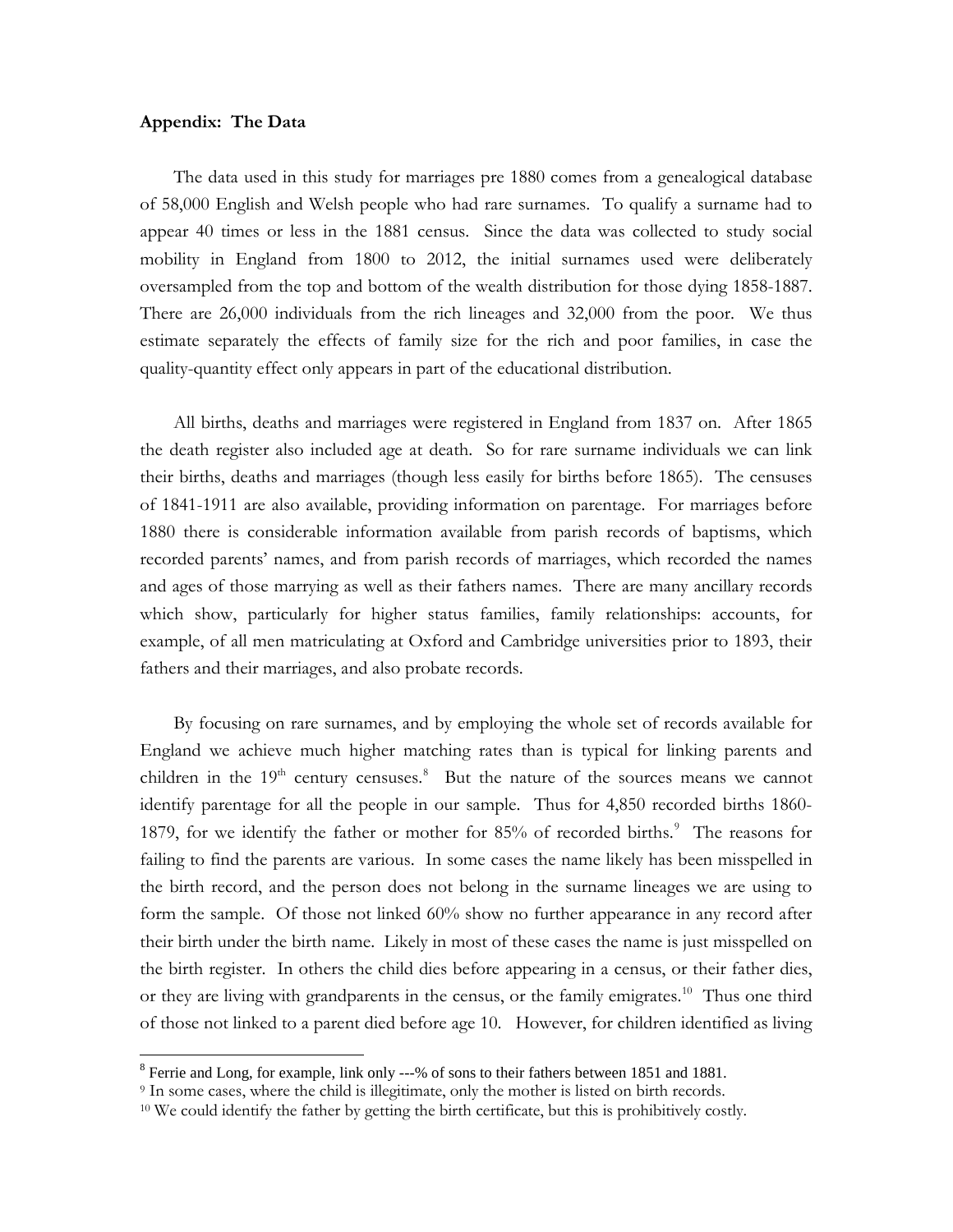# **Appendix: The Data**

The data used in this study for marriages pre 1880 comes from a genealogical database of 58,000 English and Welsh people who had rare surnames. To qualify a surname had to appear 40 times or less in the 1881 census. Since the data was collected to study social mobility in England from 1800 to 2012, the initial surnames used were deliberately oversampled from the top and bottom of the wealth distribution for those dying 1858-1887. There are 26,000 individuals from the rich lineages and 32,000 from the poor. We thus estimate separately the effects of family size for the rich and poor families, in case the quality-quantity effect only appears in part of the educational distribution.

All births, deaths and marriages were registered in England from 1837 on. After 1865 the death register also included age at death. So for rare surname individuals we can link their births, deaths and marriages (though less easily for births before 1865). The censuses of 1841-1911 are also available, providing information on parentage. For marriages before 1880 there is considerable information available from parish records of baptisms, which recorded parents' names, and from parish records of marriages, which recorded the names and ages of those marrying as well as their fathers names. There are many ancillary records which show, particularly for higher status families, family relationships: accounts, for example, of all men matriculating at Oxford and Cambridge universities prior to 1893, their fathers and their marriages, and also probate records.

By focusing on rare surnames, and by employing the whole set of records available for England we achieve much higher matching rates than is typical for linking parents and children in the  $19<sup>th</sup>$  century censuses.<sup>[8](#page-31-0)</sup> But the nature of the sources means we cannot identify parentage for all the people in our sample. Thus for 4,850 recorded births 1860- 187[9](#page-31-1), for we identify the father or mother for 85% of recorded births.<sup>9</sup> The reasons for failing to find the parents are various. In some cases the name likely has been misspelled in the birth record, and the person does not belong in the surname lineages we are using to form the sample. Of those not linked 60% show no further appearance in any record after their birth under the birth name. Likely in most of these cases the name is just misspelled on the birth register. In others the child dies before appearing in a census, or their father dies, or they are living with grandparents in the census, or the family emigrates.<sup>10</sup> Thus one third of those not linked to a parent died before age 10. However, for children identified as living

<span id="page-31-0"></span><sup>&</sup>lt;sup>8</sup> Ferrie and Long, for example, link only ---% of sons to their fathers between 1851 and 1881.

<span id="page-31-1"></span><sup>9</sup> In some cases, where the child is illegitimate, only the mother is listed on birth records.

<span id="page-31-2"></span><sup>&</sup>lt;sup>10</sup> We could identify the father by getting the birth certificate, but this is prohibitively costly.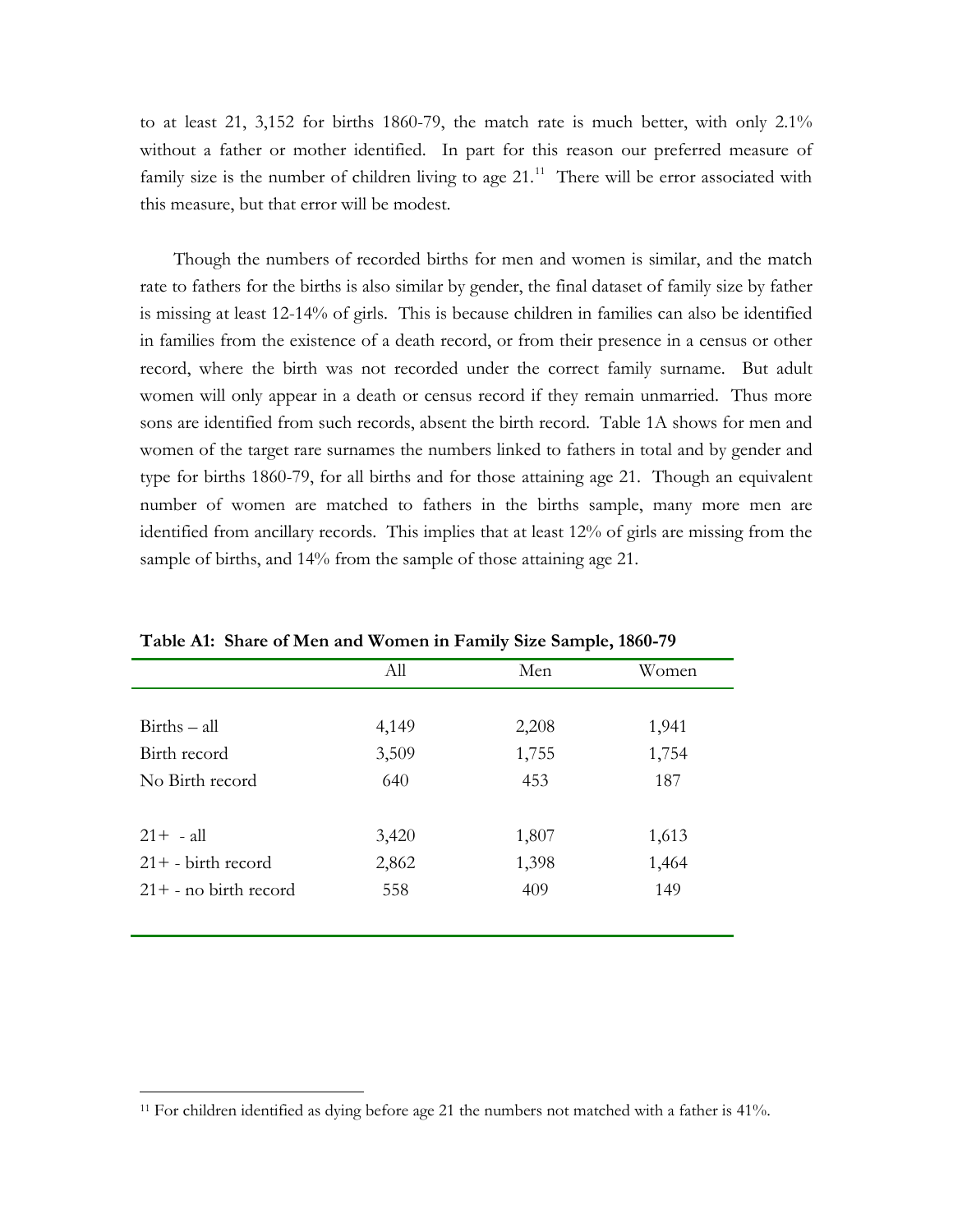to at least 21, 3,152 for births 1860-79, the match rate is much better, with only 2.1% without a father or mother identified. In part for this reason our preferred measure of family size is the number of children living to age  $21<sup>11</sup>$  $21<sup>11</sup>$  $21<sup>11</sup>$ . There will be error associated with this measure, but that error will be modest.

Though the numbers of recorded births for men and women is similar, and the match rate to fathers for the births is also similar by gender, the final dataset of family size by father is missing at least 12-14% of girls. This is because children in families can also be identified in families from the existence of a death record, or from their presence in a census or other record, where the birth was not recorded under the correct family surname. But adult women will only appear in a death or census record if they remain unmarried. Thus more sons are identified from such records, absent the birth record. Table 1A shows for men and women of the target rare surnames the numbers linked to fathers in total and by gender and type for births 1860-79, for all births and for those attaining age 21. Though an equivalent number of women are matched to fathers in the births sample, many more men are identified from ancillary records. This implies that at least 12% of girls are missing from the sample of births, and 14% from the sample of those attaining age 21.

| Table <i>I</i> M. Onare of men and women in I anniy size sample, 1000-77 |       |       |       |  |  |  |  |
|--------------------------------------------------------------------------|-------|-------|-------|--|--|--|--|
|                                                                          | All   | Men   | Women |  |  |  |  |
|                                                                          |       |       |       |  |  |  |  |
| $Births - all$                                                           | 4,149 | 2,208 | 1,941 |  |  |  |  |
| Birth record                                                             | 3,509 | 1,755 | 1,754 |  |  |  |  |
| No Birth record                                                          | 640   | 453   | 187   |  |  |  |  |
|                                                                          |       |       |       |  |  |  |  |
| $21 + - a$ ll                                                            | 3,420 | 1,807 | 1,613 |  |  |  |  |
| $21+ -$ birth record                                                     | 2,862 | 1,398 | 1,464 |  |  |  |  |
| $21+$ - no birth record                                                  | 558   | 409   | 149   |  |  |  |  |
|                                                                          |       |       |       |  |  |  |  |

**Table A1: Share of Men and Women in Family Size Sample, 1860-79**

 $\overline{\phantom{a}}$ 

<span id="page-32-0"></span><sup>11</sup> For children identified as dying before age 21 the numbers not matched with a father is 41%.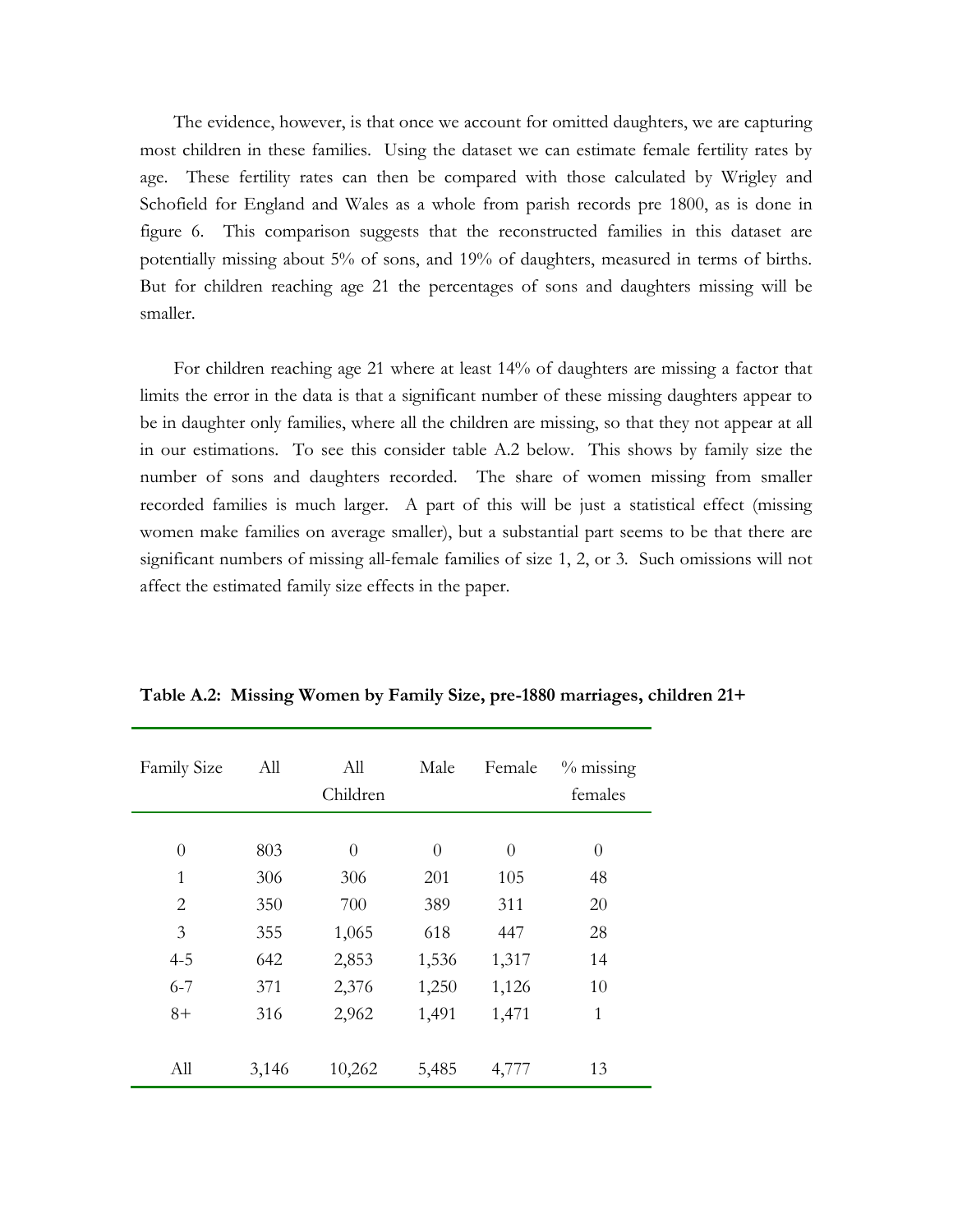The evidence, however, is that once we account for omitted daughters, we are capturing most children in these families. Using the dataset we can estimate female fertility rates by age. These fertility rates can then be compared with those calculated by Wrigley and Schofield for England and Wales as a whole from parish records pre 1800, as is done in figure 6. This comparison suggests that the reconstructed families in this dataset are potentially missing about 5% of sons, and 19% of daughters, measured in terms of births. But for children reaching age 21 the percentages of sons and daughters missing will be smaller.

For children reaching age 21 where at least 14% of daughters are missing a factor that limits the error in the data is that a significant number of these missing daughters appear to be in daughter only families, where all the children are missing, so that they not appear at all in our estimations. To see this consider table A.2 below. This shows by family size the number of sons and daughters recorded. The share of women missing from smaller recorded families is much larger. A part of this will be just a statistical effect (missing women make families on average smaller), but a substantial part seems to be that there are significant numbers of missing all-female families of size 1, 2, or 3. Such omissions will not affect the estimated family size effects in the paper.

| Family Size  | All   | All<br>Children | Male     | Female   | $%$ missing<br>females |
|--------------|-------|-----------------|----------|----------|------------------------|
|              |       |                 |          |          |                        |
| $\theta$     | 803   | $\theta$        | $\theta$ | $\theta$ | $\theta$               |
| $\mathbf{1}$ | 306   | 306             | 201      | 105      | 48                     |
| 2            | 350   | 700             | 389      | 311      | 20                     |
| 3            | 355   | 1,065           | 618      | 447      | 28                     |
| $4 - 5$      | 642   | 2,853           | 1,536    | 1,317    | 14                     |
| $6 - 7$      | 371   | 2,376           | 1,250    | 1,126    | 10                     |
| $8+$         | 316   | 2,962           | 1,491    | 1,471    | $\mathbf{1}$           |
|              |       |                 |          |          |                        |
| All          | 3,146 | 10,262          | 5,485    | 4,777    | 13                     |

**Table A.2: Missing Women by Family Size, pre-1880 marriages, children 21+**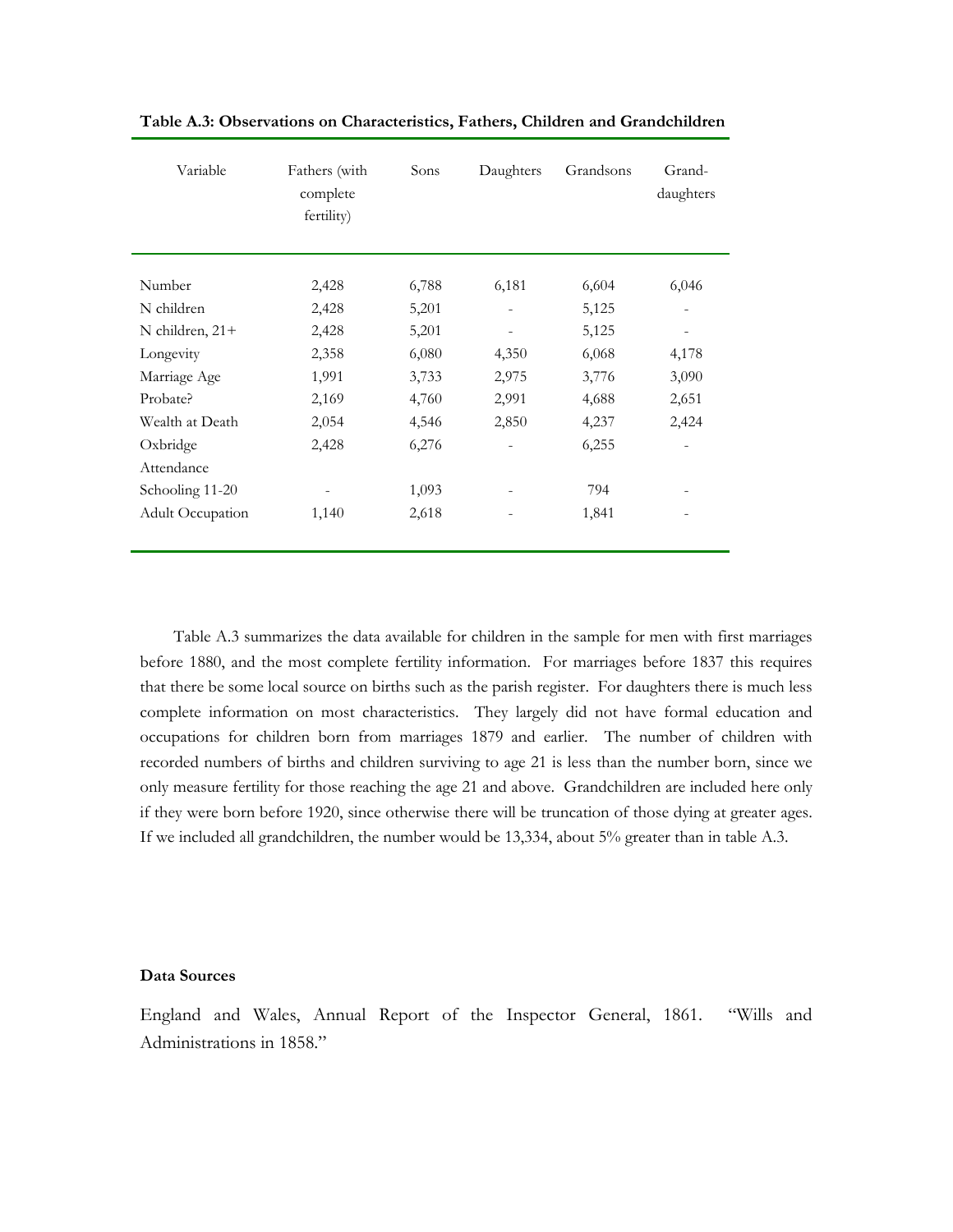| Variable                | Fathers (with<br>complete<br>fertility) | Sons  | Daughters                    | Grandsons | Grand-<br>daughters      |
|-------------------------|-----------------------------------------|-------|------------------------------|-----------|--------------------------|
| Number                  | 2,428                                   | 6,788 | 6,181                        | 6,604     | 6,046                    |
| N children              | 2,428                                   | 5,201 | $\overline{\phantom{0}}$     | 5,125     | -                        |
| N children, 21+         | 2,428                                   | 5,201 | $\qquad \qquad \blacksquare$ | 5,125     | $\overline{\phantom{a}}$ |
| Longevity               | 2,358                                   | 6,080 | 4,350                        | 6,068     | 4,178                    |
| Marriage Age            | 1,991                                   | 3,733 | 2,975                        | 3,776     | 3,090                    |
| Probate?                | 2,169                                   | 4,760 | 2,991                        | 4,688     | 2,651                    |
| Wealth at Death         | 2,054                                   | 4,546 | 2,850                        | 4,237     | 2,424                    |
| Oxbridge                | 2,428                                   | 6,276 | $\overline{\phantom{0}}$     | 6,255     | -                        |
| Attendance              |                                         |       |                              |           |                          |
| Schooling 11-20         | -                                       | 1,093 | ۰                            | 794       |                          |
| <b>Adult Occupation</b> | 1,140                                   | 2,618 |                              | 1,841     |                          |

**Table A.3: Observations on Characteristics, Fathers, Children and Grandchildren**

Table A.3 summarizes the data available for children in the sample for men with first marriages before 1880, and the most complete fertility information. For marriages before 1837 this requires that there be some local source on births such as the parish register. For daughters there is much less complete information on most characteristics. They largely did not have formal education and occupations for children born from marriages 1879 and earlier. The number of children with recorded numbers of births and children surviving to age 21 is less than the number born, since we only measure fertility for those reaching the age 21 and above. Grandchildren are included here only if they were born before 1920, since otherwise there will be truncation of those dying at greater ages. If we included all grandchildren, the number would be 13,334, about 5% greater than in table A.3.

### **Data Sources**

England and Wales, Annual Report of the Inspector General, 1861. "Wills and Administrations in 1858."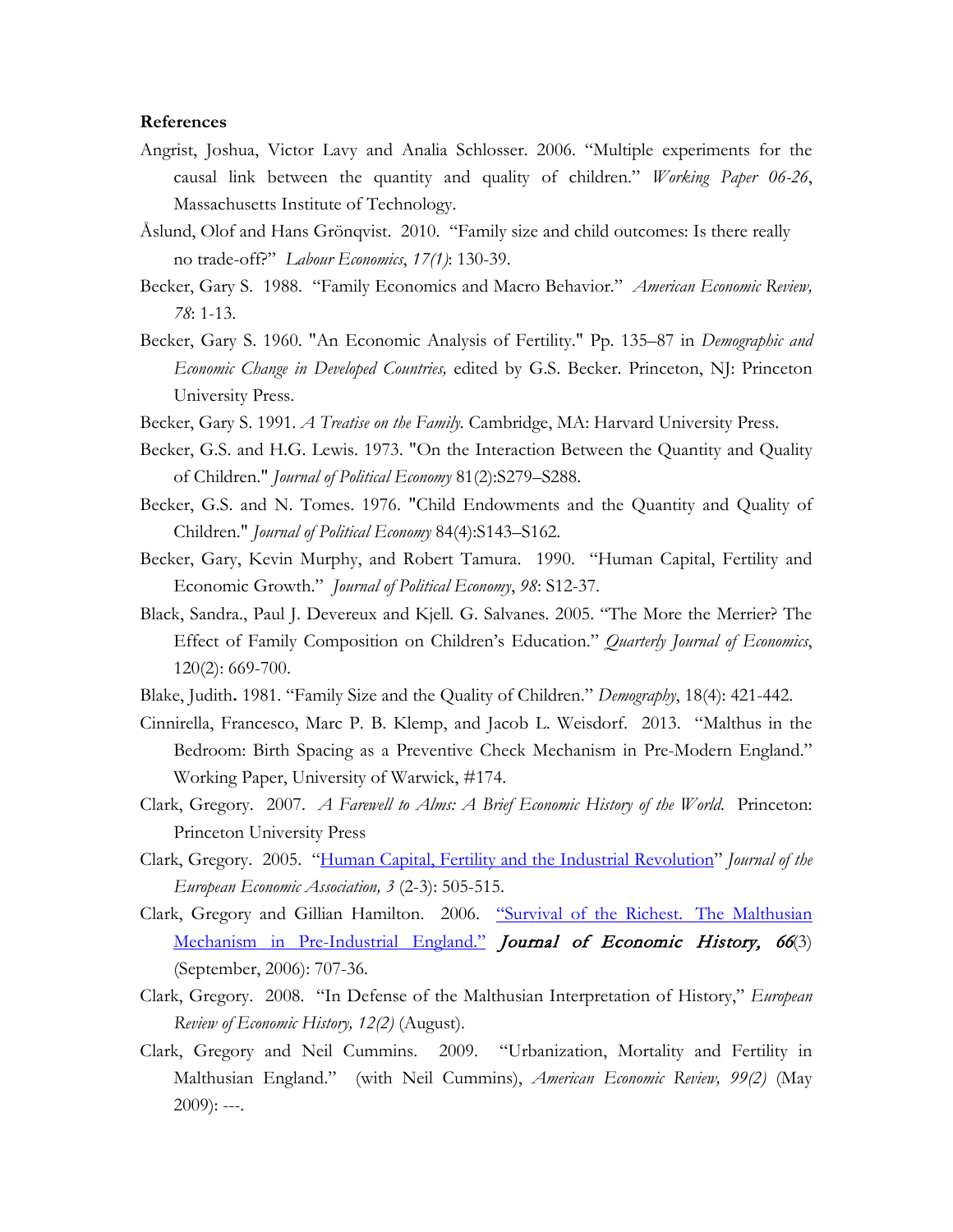## **References**

- Angrist, Joshua, Victor Lavy and Analia Schlosser. 2006. "Multiple experiments for the causal link between the quantity and quality of children." *Working Paper 06-26*, Massachusetts Institute of Technology.
- Åslund, Olof and Hans Grönqvist. 2010. "Family size and child outcomes: Is there really no trade-off?" *Labour Economics*, *17(1)*: 130-39.
- Becker, Gary S. 1988. "Family Economics and Macro Behavior." *American Economic Review, 78*: 1-13.
- Becker, Gary S. 1960. "An Economic Analysis of Fertility." Pp. 135–87 in *Demographic and Economic Change in Developed Countries,* edited by G.S. Becker. Princeton, NJ: Princeton University Press.
- Becker, Gary S. 1991. *A Treatise on the Family.* Cambridge, MA: Harvard University Press.
- Becker, G.S. and H.G. Lewis. 1973. "On the Interaction Between the Quantity and Quality of Children." *Journal of Political Economy* 81(2):S279–S288.
- Becker, G.S. and N. Tomes. 1976. "Child Endowments and the Quantity and Quality of Children." *Journal of Political Economy* 84(4):S143–S162.
- Becker, Gary, Kevin Murphy, and Robert Tamura. 1990. "Human Capital, Fertility and Economic Growth." *Journal of Political Economy*, *98*: S12-37.
- Black, Sandra., Paul J. Devereux and Kjell. G. Salvanes. 2005. "The More the Merrier? The Effect of Family Composition on Children's Education." *Quarterly Journal of Economics*, 120(2): 669-700.
- Blake, Judith**.** 1981. "Family Size and the Quality of Children." *Demography*, 18(4): 421-442.
- Cinnirella, Francesco, Marc P. B. Klemp, and Jacob L. Weisdorf. 2013. "Malthus in the Bedroom: Birth Spacing as a Preventive Check Mechanism in Pre-Modern England." Working Paper, University of Warwick, #174.
- Clark, Gregory. 2007. *A Farewell to Alms: A Brief Economic History of the World.* Princeton: Princeton University Press
- Clark, Gregory. 2005. ["Human Capital, Fertility and the Industrial Revolution"](http://www.econ.ucdavis.edu/faculty/gclark/papers/Clark%20-%20JEEA.pdf) *Journal of the European Economic Association, 3* (2-3): 505-515.
- Clark, Gregory and Gillian Hamilton. 2006. ["Survival of the Richest.](http://www.econ.ucdavis.edu/faculty/gclark/papers/JEH2006.pdf) The Malthusian [Mechanism in Pre-Industrial England."](http://www.econ.ucdavis.edu/faculty/gclark/papers/JEH2006.pdf) Journal of Economic History, 66(3) (September, 2006): 707-36.
- Clark, Gregory. 2008. "In Defense of the Malthusian Interpretation of History," *European Review of Economic History, 12(2)* (August).
- Clark, Gregory and Neil Cummins. 2009. "Urbanization, Mortality and Fertility in Malthusian England." (with Neil Cummins), *American Economic Review, 99(2)* (May  $2009$ : ---.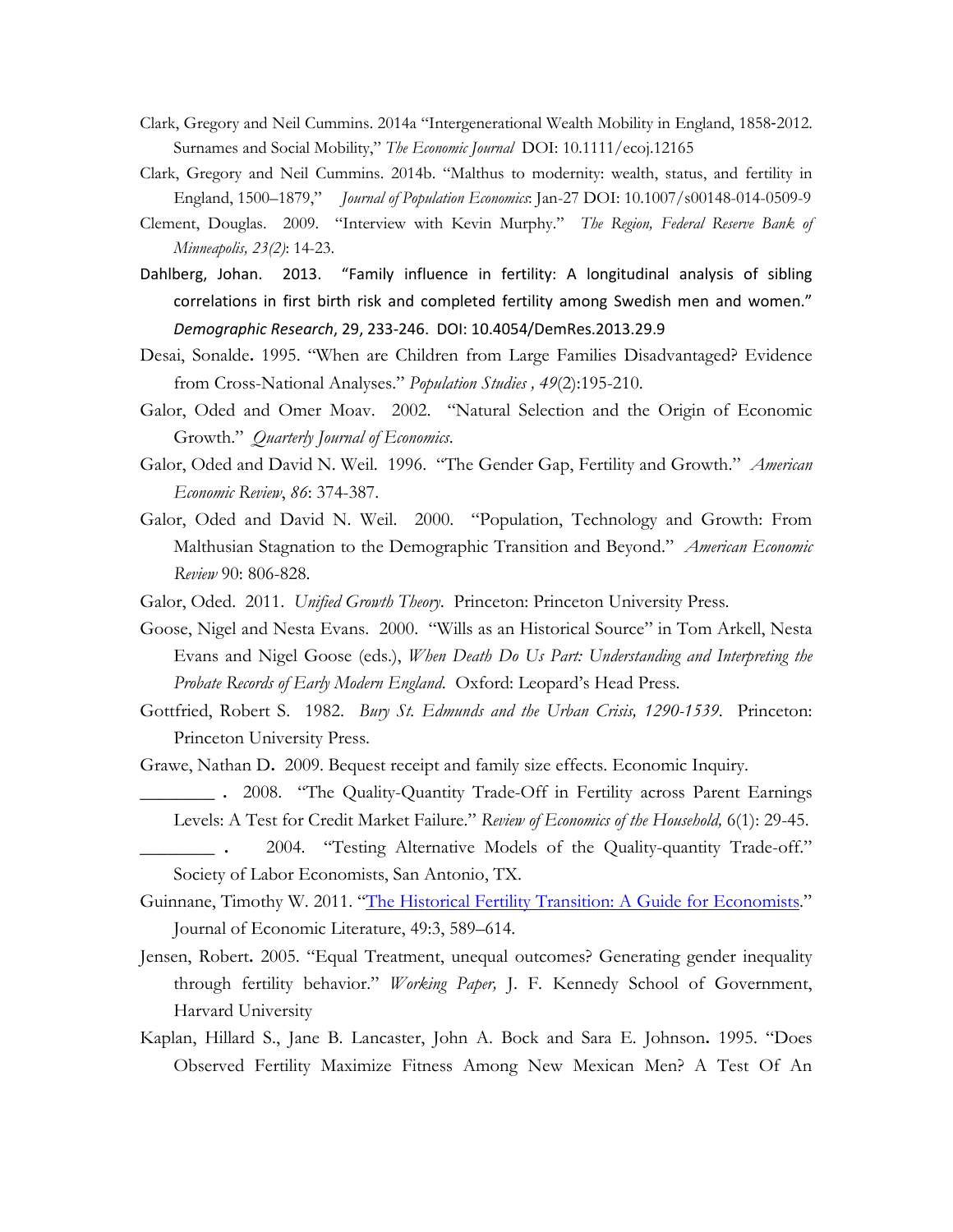- Clark, Gregory and Neil Cummins. 2014a "Intergenerational Wealth Mobility in England, 1858‐2012. Surnames and Social Mobility," *The Economic Journal* DOI: 10.1111/ecoj.12165
- Clark, Gregory and Neil Cummins. 2014b. "Malthus to modernity: wealth, status, and fertility in England, 1500–1879," *Journal of Population Economics*: Jan-27 DOI: 10.1007/s00148-014-0509-9
- Clement, Douglas. 2009. "Interview with Kevin Murphy." *The Region, Federal Reserve Bank of Minneapolis, 23(2)*: 14-23.
- Dahlberg, Johan. 2013. "Family influence in fertility: A longitudinal analysis of sibling correlations in first birth risk and completed fertility among Swedish men and women." *Demographic Research*, 29, 233-246. DOI: 10.4054/DemRes.2013.29.9
- Desai, Sonalde**.** 1995. "When are Children from Large Families Disadvantaged? Evidence from Cross-National Analyses." *Population Studies , 49*(2):195-210.
- Galor, Oded and Omer Moav. 2002. "Natural Selection and the Origin of Economic Growth." *Quarterly Journal of Economics*.
- Galor, Oded and David N. Weil. 1996. "The Gender Gap, Fertility and Growth." *American Economic Review*, *86*: 374-387.
- Galor, Oded and David N. Weil. 2000. "Population, Technology and Growth: From Malthusian Stagnation to the Demographic Transition and Beyond." *American Economic Review* 90: 806-828.
- Galor, Oded. 2011. *Unified Growth Theory*. Princeton: Princeton University Press.
- Goose, Nigel and Nesta Evans. 2000. "Wills as an Historical Source" in Tom Arkell, Nesta Evans and Nigel Goose (eds.), *When Death Do Us Part: Understanding and Interpreting the Probate Records of Early Modern England*. Oxford: Leopard's Head Press.
- Gottfried, Robert S. 1982. *Bury St. Edmunds and the Urban Crisis, 1290-1539*. Princeton: Princeton University Press.
- Grawe, Nathan D**.** 2009. Bequest receipt and family size effects. Economic Inquiry.
	- **\_\_\_\_\_\_\_\_ .** 2008. ["The Quality-Quantity Trade-Off in Fertility across Parent Earnings](http://apps.carleton.edu/curricular/econ/assets/200508.pdf)  [Levels: A Test for Credit Market Failure.](http://apps.carleton.edu/curricular/econ/assets/200508.pdf)" *Review of Economics of the Household,* 6(1): 29-45.
	- **\_\_\_\_\_\_\_\_ .** 2004. "Testing Alternative Models of the Quality-quantity Trade-off." Society of Labor Economists, San Antonio, TX.
- Guinnane, Timothy W. 2011. ["The Historical Fertility Transition: A Guide for Economists.](http://demographic-challenge.com/files/downloads/657de1cecd3e4cef9751b9e7df2c3287/dc_the-historical-fertility-transition.pdf)" Journal of Economic Literature, 49:3, 589–614.
- Jensen, Robert**.** 2005. "Equal Treatment, unequal outcomes? Generating gender inequality through fertility behavior." *Working Paper,* J. F. Kennedy School of Government, Harvard University
- Kaplan, Hillard S., Jane B. Lancaster, John A. Bock and Sara E. Johnson**.** 1995. "Does Observed Fertility Maximize Fitness Among New Mexican Men? A Test Of An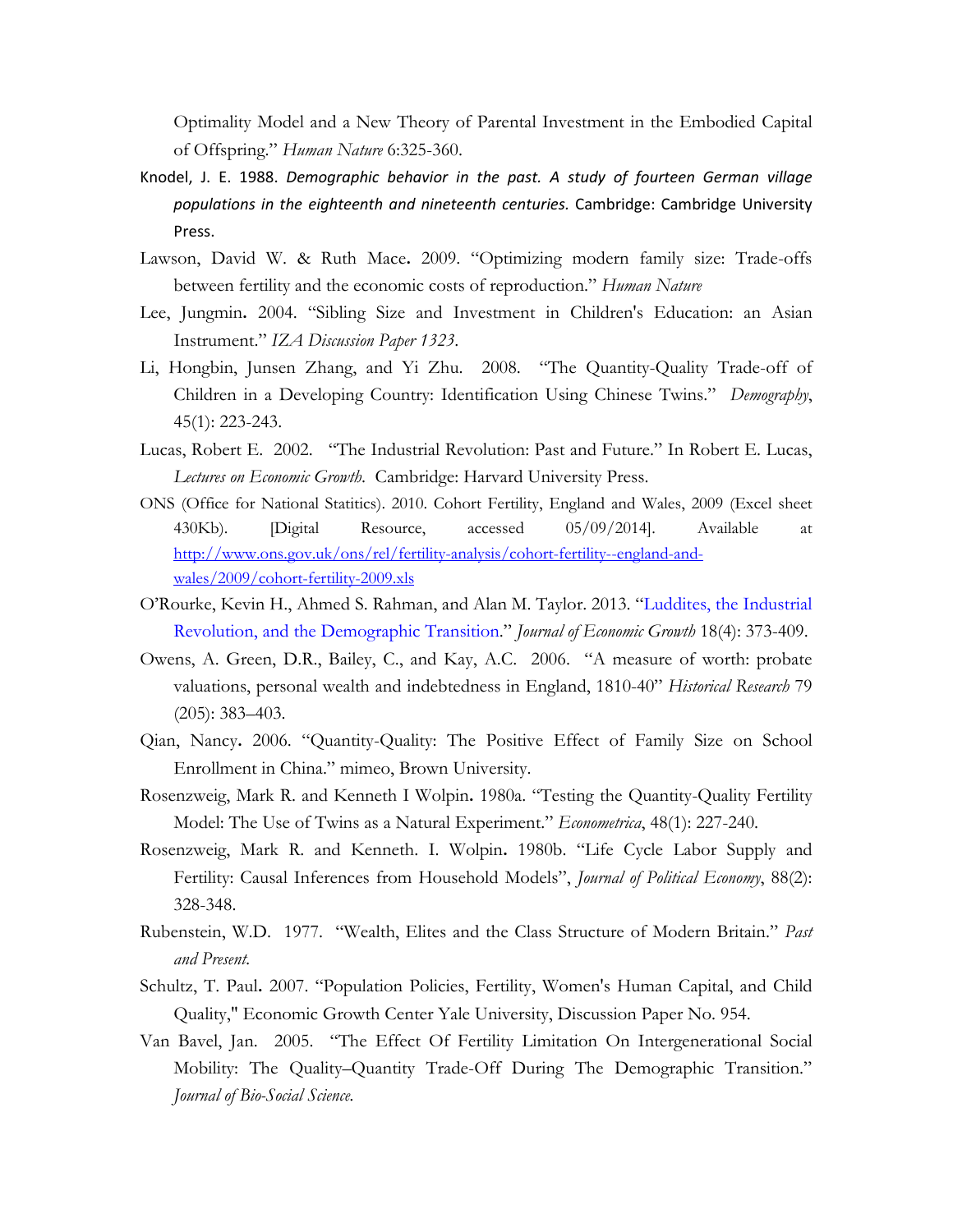Optimality Model and a New Theory of Parental Investment in the Embodied Capital of Offspring." *Human Nature* 6:325-360.

- Knodel, J. E. 1988. *Demographic behavior in the past. A study of fourteen German village populations in the eighteenth and nineteenth centuries.* Cambridge: Cambridge University Press.
- Lawson, David W. & Ruth Mace**.** 2009. "Optimizing modern family size: Trade-offs between fertility and the economic costs of reproduction." *Human Nature*
- Lee, Jungmin**.** 2004. "Sibling Size and Investment in Children's Education: an Asian Instrument." *IZA Discussion Paper 1323*.
- Li, Hongbin, Junsen Zhang, and Yi Zhu. 2008. "The Quantity-Quality Trade-off of Children in a Developing Country: Identification Using Chinese Twins." *Demography*, 45(1): 223-243.
- Lucas, Robert E. 2002. "The Industrial Revolution: Past and Future." In Robert E. Lucas, *Lectures on Economic Growth*. Cambridge: Harvard University Press.
- ONS (Office for National Statitics). 2010. Cohort Fertility, England and Wales, 2009 (Excel sheet 430Kb). [Digital Resource, accessed 05/09/2014]. Available at [http://www.ons.gov.uk/ons/rel/fertility-analysis/cohort-fertility--england-and](http://www.ons.gov.uk/ons/rel/fertility-analysis/cohort-fertility--england-and-wales/2009/cohort-fertility-2009.xls)[wales/2009/cohort-fertility-2009.xls](http://www.ons.gov.uk/ons/rel/fertility-analysis/cohort-fertility--england-and-wales/2009/cohort-fertility-2009.xls)
- O'Rourke, Kevin H., Ahmed S. Rahman, and Alan M. Taylor. 2013. "Luddites, the Industrial Revolution, and the Demographic Transition." *Journal of Economic Growth* 18(4): 373-409.
- Owens, A. Green, D.R., Bailey, C., and Kay, A.C. 2006. "A measure of worth: probate valuations, personal wealth and indebtedness in England, 1810-40" *Historical Research* 79 (205): 383–403.
- Qian, Nancy**.** 2006. "Quantity-Quality: The Positive Effect of Family Size on School Enrollment in China." mimeo, Brown University.
- Rosenzweig, Mark R. and Kenneth I Wolpin**.** 1980a. "Testing the Quantity-Quality Fertility Model: The Use of Twins as a Natural Experiment." *Econometrica*, 48(1): 227-240.
- Rosenzweig, Mark R. and Kenneth. I. Wolpin**.** 1980b. "Life Cycle Labor Supply and Fertility: Causal Inferences from Household Models", *Journal of Political Economy*, 88(2): 328-348.
- Rubenstein, W.D. 1977. "Wealth, Elites and the Class Structure of Modern Britain." *Past and Present.*
- Schultz, T. Paul**.** 2007. "Population Policies, Fertility, Women's Human Capital, and Child Quality," Economic Growth Center Yale University, Discussion Paper No. 954.
- Van Bavel, Jan. 2005. "The Effect Of Fertility Limitation On Intergenerational Social Mobility: The Quality–Quantity Trade-Off During The Demographic Transition." *Journal of Bio-Social Science.*